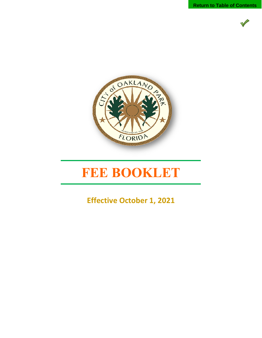



## **FEE BOOKLET**

**Effective October 1, 2021**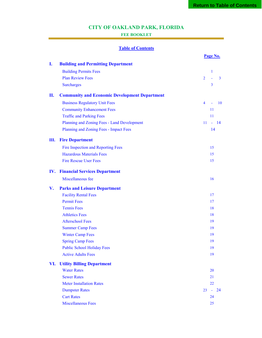## **CITY OF OAKLAND PARK, FLORIDA**

### **FEE BOOKLET**

### **Table of Contents**

|     |                                                      |                | Page No.     |                |
|-----|------------------------------------------------------|----------------|--------------|----------------|
| I.  | <b>Building and Permitting Department</b>            |                |              |                |
|     | <b>Building Permits Fees</b>                         |                | $\mathbf{1}$ |                |
|     | <b>Plan Review Fees</b>                              | $\overline{2}$ | L,           | $\overline{3}$ |
|     | <b>Surcharges</b>                                    |                | 3            |                |
| П.  | <b>Community and Economic Development Department</b> |                |              |                |
|     | <b>Business Regulatory Unit Fees</b>                 | $\overline{4}$ | ä,           | 10             |
|     | <b>Community Enhancement Fees</b>                    |                | 11           |                |
|     | <b>Traffic and Parking Fees</b>                      |                | 11           |                |
|     | Planning and Zoning Fees - Land Development          | 11             | $-14$        |                |
|     | Planning and Zoning Fees - Impact Fees               |                | 14           |                |
| Ш.  | <b>Fire Department</b>                               |                |              |                |
|     | Fire Inspection and Reporting Fees                   |                | 15           |                |
|     | <b>Hazardous Materials Fees</b>                      |                | 15           |                |
|     | <b>Fire Rescue User Fees</b>                         |                | 15           |                |
| IV. | <b>Financial Services Department</b>                 |                |              |                |
|     | Miscellaneous fee                                    |                | 16           |                |
| V.  | <b>Parks and Leisure Department</b>                  |                |              |                |
|     | <b>Facility Rental Fees</b>                          |                | 17           |                |
|     | <b>Permit Fees</b>                                   |                | 17           |                |
|     | <b>Tennis Fees</b>                                   |                | 18           |                |
|     | <b>Athletics Fees</b>                                |                | 18           |                |
|     | <b>Afterschool Fees</b>                              |                | 19           |                |
|     | <b>Summer Camp Fees</b>                              |                | 19           |                |
|     | <b>Winter Camp Fees</b>                              |                | 19           |                |
|     | <b>Spring Camp Fees</b>                              |                | 19           |                |
|     | <b>Public School Holiday Fees</b>                    |                | 19           |                |
|     | <b>Active Adults Fees</b>                            |                | 19           |                |
| VI. | <b>Utility Billing Department</b>                    |                |              |                |
|     | <b>Water Rates</b>                                   |                | 20           |                |
|     | <b>Sewer Rates</b>                                   |                | 21           |                |
|     | <b>Meter Installation Rates</b>                      |                | 22           |                |
|     | <b>Dumpster Rates</b>                                | 23             | $\sim$       | 24             |
|     | <b>Cart Rates</b>                                    |                | 24           |                |
|     | <b>Miscellaneous Fees</b>                            |                | 25           |                |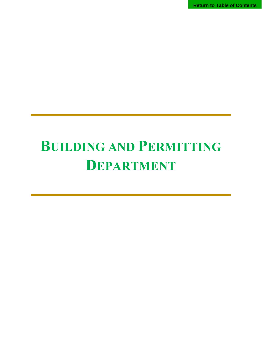**Return to Table of Contents**

# **BUILDING AND PERMITTING DEPARTMENT**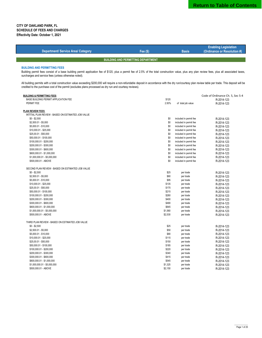| <b>Department/ Service Area/ Category</b>                                                                                                                                                                | Fee $(s)$      | <b>Basis</b>           | <b>Enabling Legislation</b><br>(Ordinance or Resolution #) |  |  |
|----------------------------------------------------------------------------------------------------------------------------------------------------------------------------------------------------------|----------------|------------------------|------------------------------------------------------------|--|--|
|                                                                                                                                                                                                          |                |                        |                                                            |  |  |
| <b>BUILDING AND PERMITTING DEPARTMENT</b>                                                                                                                                                                |                |                        |                                                            |  |  |
| <b>BUILDING AND PERMITTING FEES</b>                                                                                                                                                                      |                |                        |                                                            |  |  |
| Building permit fees consist of a base building permit application fee of \$120, plus a permit fee of 2.5% of the total construction value, plus any plan review fees, plus all associated taxes,        |                |                        |                                                            |  |  |
| surcharges and service fees (unless otherwise noted).                                                                                                                                                    |                |                        |                                                            |  |  |
| All building permits with a total construction value exceeding \$200,000 will require a non-refundable deposit in accordance with the dry run/courtesy plan review table per trade. This deposit will be |                |                        |                                                            |  |  |
| credited to the purchase cost of the permit (excludes plans processed as dry run and courtesy reviews).                                                                                                  |                |                        |                                                            |  |  |
| <b>BUILDING &amp; PERMITTING FEES</b>                                                                                                                                                                    |                |                        | Code of Ordinance Ch. 5, Sec 5-4                           |  |  |
| BASE BUILDING PERMIT APPLICATION FEE                                                                                                                                                                     | \$120          |                        | R-2014-123                                                 |  |  |
| PERMIT FEE                                                                                                                                                                                               | 2.50%          | of total job value     | R-2014-123                                                 |  |  |
| <b>PLAN REVIEW FEES</b>                                                                                                                                                                                  |                |                        |                                                            |  |  |
| INTITIAL PLAN REVIEW - BASED ON ESTIMATED JOB VALUE                                                                                                                                                      |                |                        |                                                            |  |  |
| $$0 - $2,500$                                                                                                                                                                                            | \$0            | included in permit fee | R-2014-123                                                 |  |  |
| \$2,500.01 - \$5,000                                                                                                                                                                                     | \$0            | included in permit fee | R-2014-123                                                 |  |  |
| \$5,000.01 - \$10,000                                                                                                                                                                                    | \$0            | included in permit fee | R-2014-123                                                 |  |  |
| \$10,000.01 - \$25,000                                                                                                                                                                                   | \$0            | included in permit fee | R-2014-123                                                 |  |  |
| \$25,00.01 - \$50,000                                                                                                                                                                                    | \$0            | included in permit fee | R-2014-123                                                 |  |  |
| \$50,000.01 - \$100,000                                                                                                                                                                                  | \$0            | included in permit fee | R-2014-123                                                 |  |  |
| \$100,000.01 - \$200,000                                                                                                                                                                                 | \$0            | included in permit fee | R-2014-123                                                 |  |  |
| \$200,000.01 - \$300,000                                                                                                                                                                                 | \$0            | included in permit fee | R-2014-123                                                 |  |  |
| \$300,000.01 - \$600,000                                                                                                                                                                                 | \$0            | included in permit fee | R-2014-123                                                 |  |  |
| \$600,000.01 - \$1,000,000                                                                                                                                                                               | \$0            | included in permit fee | R-2014-123                                                 |  |  |
| \$1,000,000.01 - \$5,000,000                                                                                                                                                                             | \$0            | included in permit fee | R-2014-123                                                 |  |  |
| \$500,000.01 - ABOVE                                                                                                                                                                                     | \$0            | included in permit fee | R-2014-123                                                 |  |  |
| SECOND PLAN REVIEW - BASED ON ESTIMATED JOB VALUE                                                                                                                                                        |                |                        |                                                            |  |  |
| $$0 - $2,500$                                                                                                                                                                                            | \$25           | per trade              | R-2014-123                                                 |  |  |
| \$2,500.01 - \$5,000                                                                                                                                                                                     | \$60           | per trade              | R-2014-123                                                 |  |  |
| \$5,000.01 - \$10,000                                                                                                                                                                                    | \$95           | per trade              | R-2014-123                                                 |  |  |
| \$10,000.01 - \$25,000                                                                                                                                                                                   | \$135          | per trade              | R-2014-123                                                 |  |  |
| \$25,00.01 - \$50,000                                                                                                                                                                                    | \$175          | per trade              | R-2014-123                                                 |  |  |
| \$50,000.01 - \$100,000                                                                                                                                                                                  | \$215          | per trade              | R-2014-123                                                 |  |  |
| \$100,000.01 - \$200,000                                                                                                                                                                                 | \$260          | per trade              | R-2014-123                                                 |  |  |
| \$200,000.01 - \$300,000                                                                                                                                                                                 | \$400          | per trade              | R-2014-123                                                 |  |  |
| \$300,000.01 - \$600,000                                                                                                                                                                                 | \$490<br>\$645 | per trade              | R-2014-123                                                 |  |  |
| \$600,000.01 - \$1,000,000<br>\$1,000,000.01 - \$5,000,000                                                                                                                                               | \$1,560        | per trade<br>per trade | R-2014-123<br>R-2014-123                                   |  |  |
| \$500,000.01 - ABOVE                                                                                                                                                                                     | \$2,530        | per trade              | R-2014-123                                                 |  |  |
| THIRD PLAN REVIEW - BASED ON ESTIMATED JOB VALUE                                                                                                                                                         |                |                        |                                                            |  |  |
| $$0 - $2,500$                                                                                                                                                                                            | \$25           |                        |                                                            |  |  |
| \$2,500.01 - \$5,000                                                                                                                                                                                     | \$50           | per trade<br>per trade | R-2014-123<br>R-2014-123                                   |  |  |
| \$5,000.01 - \$10,000                                                                                                                                                                                    | \$80           | per trade              | R-2014-123                                                 |  |  |
| \$10,000.01 - \$25,000                                                                                                                                                                                   | \$115          | per trade              | R-2014-123                                                 |  |  |
| \$25,00.01 - \$50,000                                                                                                                                                                                    | \$150          | per trade              | R-2014-123                                                 |  |  |
| \$50,000.01 - \$100,000                                                                                                                                                                                  | \$185          | per trade              | R-2014-123                                                 |  |  |
| \$100,000.01 - \$200,000                                                                                                                                                                                 | \$220          | per trade              | R-2014-123                                                 |  |  |
| \$200,000.01 - \$300,000                                                                                                                                                                                 |                |                        |                                                            |  |  |
|                                                                                                                                                                                                          | \$340          |                        |                                                            |  |  |
| \$300,000.01 - \$600,000                                                                                                                                                                                 | \$415          | per trade              | R-2014-123                                                 |  |  |
| \$600,000.01 - \$1,000,000                                                                                                                                                                               | \$545          | per trade<br>per trade | R-2014-123                                                 |  |  |
| \$1,000,000.01 - \$5,000,000                                                                                                                                                                             | \$1,325        | per trade              | R-2014-123<br>R-2014-123                                   |  |  |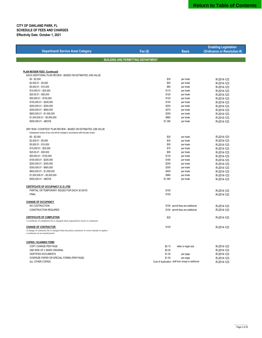|                                                                                             |                                           |                                                     | <b>Enabling Legislation</b> |
|---------------------------------------------------------------------------------------------|-------------------------------------------|-----------------------------------------------------|-----------------------------|
| <b>Department/ Service Area/ Category</b>                                                   | Fee $(S)$                                 | <b>Basis</b>                                        | (Ordinance or Resolution #) |
|                                                                                             |                                           |                                                     |                             |
|                                                                                             | <b>BUILDING AND PERMITTING DEPARTMENT</b> |                                                     |                             |
|                                                                                             |                                           |                                                     |                             |
| PLAN REVIEW FEES (Continued)                                                                |                                           |                                                     |                             |
| EACH ADDITIONAL PLAN REVIEW - BASED ON ESTIMATED JOB VALUE                                  |                                           |                                                     |                             |
| $$0 - $2,500$                                                                               | \$30                                      | per trade                                           | R-2014-123                  |
| \$2,500.01 - \$5,000                                                                        | \$55                                      | per trade                                           | R-2014-123                  |
| \$5,000.01 - \$10,000                                                                       | \$85                                      | per trade                                           | R-2014-123                  |
| \$10,000.01 - \$25,000                                                                      | \$110                                     | per trade                                           | R-2014-123                  |
| \$25,00.01 - \$50,000                                                                       | \$120                                     | per trade                                           | R-2014-123                  |
| \$50,000.01 - \$100,000                                                                     | \$125                                     | per trade                                           | R-2014-123                  |
| \$100,000.01 - \$200,000                                                                    | \$145                                     | per trade                                           | R-2014-123                  |
| \$200,000.01 - \$300,000                                                                    | \$220                                     | per trade                                           | R-2014-123                  |
| \$300,000.01 - \$600,000                                                                    | \$270                                     | per trade                                           | R-2014-123                  |
| \$600,000.01 - \$1,000,000                                                                  | \$355                                     | per trade                                           | R-2014-123                  |
| \$1,000,000.01 - \$5,000,000                                                                | \$860                                     | per trade                                           | R-2014-123                  |
| \$500,000.01 - ABOVE                                                                        | \$1,390                                   | per trade                                           | R-2014-123                  |
| DRY RUN / COURTESY PLAN REVIEW - BASED ON ESTIMATED JOB VALUE                               |                                           |                                                     |                             |
| Subsequent review of dry runs will be charged in accordance with the plan review            |                                           |                                                     |                             |
| $$0 - $2,500$                                                                               | \$20                                      | per trade                                           | R-2014-123                  |
| \$2,500.01 - \$5,000                                                                        | \$35                                      | per trade                                           | R-2014-123                  |
| \$5,000.01 - \$10,000                                                                       | \$55                                      | per trade                                           | R-2014-123                  |
| \$10,000.01 - \$25,000                                                                      | \$75                                      | per trade                                           | R-2014-123                  |
| \$25,00.01 - \$50,000                                                                       | \$95                                      | per trade                                           | R-2014-123                  |
| \$50,000.01 - \$100,000                                                                     | \$135                                     | per trade                                           | R-2014-123                  |
| \$100,000.01 - \$200,000                                                                    | \$160                                     | per trade                                           | R-2014-123                  |
| \$200,000.01 - \$300,000                                                                    | \$250                                     | per trade                                           | R-2014-123                  |
| \$300,000.01 - \$600,000                                                                    | \$305                                     | per trade                                           | R-2014-123                  |
| \$600,000.01 - \$1,000,000                                                                  | \$400                                     | per trade                                           | R-2014-123                  |
| \$1,000,000.01 - \$5,000,000                                                                | \$980                                     | per trade                                           | R-2014-123                  |
| \$500,000.01 - ABOVE                                                                        | \$1,395                                   | per trade                                           | R-2014-123                  |
|                                                                                             |                                           |                                                     |                             |
| CERTIFICATE OF OCCUPANCY (C.O.) FEE                                                         |                                           |                                                     |                             |
| PARTIAL OR TEMPORARY ISSUED FOR EACH 30 DAYS                                                | \$100                                     |                                                     | R-2014-123                  |
| <b>FINAL</b>                                                                                | \$100                                     |                                                     | R-2014-123                  |
| <b>CHANGE OF OCCUPANCY</b>                                                                  |                                           |                                                     |                             |
| NO COSTRUCTION                                                                              |                                           | \$100 permit fees are additional                    | R-2014-123                  |
| CONSTRUCTION REQUIRED                                                                       |                                           | \$100 permit fees are additional                    | R-2014-123                  |
|                                                                                             |                                           |                                                     |                             |
| <b>CERTIFICATE OF COMPLETION</b>                                                            | \$25                                      |                                                     | R-2014-123                  |
| A certificate of completion fee is charged when requested by owner or contractor.           |                                           |                                                     |                             |
| <b>CHANGE OF CONTRACTOR</b>                                                                 | \$120                                     |                                                     | R-2014-123                  |
| A change of contractor fee is charged when the prime contractor or owner intends to replace |                                           |                                                     |                             |
| a contractor on an issued permit.                                                           |                                           |                                                     |                             |
| <b>COPIES / SCANNED ITEMS</b>                                                               |                                           |                                                     |                             |
| COPY CHARGE PER PAGE                                                                        | \$0.15                                    |                                                     |                             |
| 2ND SIDE OF 2 SIDED ORIGINAL                                                                | \$0.20                                    | letter or legal size                                | R-2014-123<br>R-2014-123    |
| CERTIFIED DOCUMENTS                                                                         | \$1.00                                    |                                                     | R-2014-123                  |
| OVERSIZE PAPER OR SPECIAL FORMS (PER PAGE)                                                  | \$1.00                                    | per page<br>per page                                | R-2014-123                  |
| ALL OTHER COPIES                                                                            |                                           | Cost of duplication staff time charge is additional | R-2014-123                  |
|                                                                                             |                                           |                                                     |                             |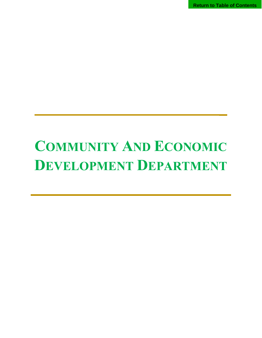**Return to Table of Contents**

# **COMMUNITY AND ECONOMIC DEVELOPMENT DEPARTMENT**

 **\_**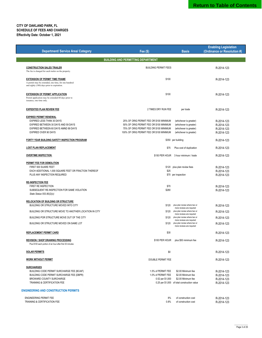|                                                                                                                                            |                                                                                     |                                                                                         | <b>Enabling Legislation</b> |
|--------------------------------------------------------------------------------------------------------------------------------------------|-------------------------------------------------------------------------------------|-----------------------------------------------------------------------------------------|-----------------------------|
| <b>Department/ Service Area/ Category</b>                                                                                                  | Fee $(s)$                                                                           | <b>Basis</b>                                                                            | (Ordinance or Resolution #) |
|                                                                                                                                            | <b>BUILDING AND PERMITTING DEPARTMENT</b>                                           |                                                                                         |                             |
|                                                                                                                                            |                                                                                     |                                                                                         |                             |
| <b>CONSTRUCTION SALES TRAILER</b><br>The fee is charged for each trailer on the property.                                                  | <b>BUILDING PERMIT FEES</b>                                                         |                                                                                         | R-2014-123                  |
| <b>EXTENSION OF PERMIT TIME FRAME</b><br>A permit may be extended, one time, for one hundred<br>and eighty (180) days prior to expiration. | \$100                                                                               |                                                                                         | R-2014-123                  |
| <b>EXTENSION OF PERMIT APPLICATION</b><br>Permit application may be extended 60 days prior to<br>issuance, one time only.                  | \$100                                                                               |                                                                                         | R-2014-123                  |
| <b>EXPEDITED PLAN REVIEW FEE</b>                                                                                                           | 2 TIMES DRY RUN FEE                                                                 | per trade                                                                               | R-2014-123                  |
|                                                                                                                                            |                                                                                     |                                                                                         |                             |
| <b>EXPIRED PERMIT RENEWAL</b><br>EXPIRED LESS THAN 30 DAYS                                                                                 | 25% OF ORIG PERMIT FEE OR \$100 MINIMUM                                             | (whichever is greater)                                                                  | R-2014-123                  |
| EXPIRED BETWEEN 30 DAYS AND 59 DAYS                                                                                                        | 50% OF ORIG PERMIT FEE OR \$100 MINIMUM                                             | (whichever is greater)                                                                  | R-2014-123                  |
| EXPIRED BETWEEN 60 DAYS AMND 89 DAYS<br><b>EXPIRED OVER 90 DAYS</b>                                                                        | 75% OF ORIG PERMIT FEE OR \$100 MINIMUM<br>100% OF ORIG PERMIT FEE OR \$100 MINIMUM | (whichever is greater)<br>(whichever is greater)                                        | R-2014-123<br>R-2014-123    |
|                                                                                                                                            |                                                                                     |                                                                                         |                             |
| FORTY YEAR BUILDING SAFETY INSPECTION PROGRAM                                                                                              |                                                                                     | \$350 per building                                                                      | R-2014-123                  |
| <b>LOST PLAN REPLACEMENT</b>                                                                                                               | \$75                                                                                | Plus cost of duplication                                                                | R-2014-123                  |
| <b>OVERTIME INSPECTION</b>                                                                                                                 |                                                                                     | \$150 PER HOUR 3 hour minimum / trade                                                   | R-2014-123                  |
| PERMIT FEE FOR DEMOLITION                                                                                                                  |                                                                                     |                                                                                         |                             |
| FIRST 500 SUARE FEET                                                                                                                       |                                                                                     | \$120 plus plan review fees                                                             | R-2014-123                  |
| EACH ADDITIONAL 1,000 SQUARE FEET OR FRACTION THEREOF<br>PLUS ANY INSPECTION REQUIRED                                                      | \$25                                                                                | \$70 per inspection                                                                     | R-2014-123<br>R-2014-123    |
|                                                                                                                                            |                                                                                     |                                                                                         |                             |
| <b>RE-INSPECTION FEE</b>                                                                                                                   |                                                                                     |                                                                                         |                             |
| FIRST RE INSPECTION<br>SUBSEQUENT RE-INSPECTION FOR SAME VIOLATION                                                                         | \$70<br>\$280                                                                       |                                                                                         | R-2014-123                  |
| State Statue 553.80(2)(c)                                                                                                                  |                                                                                     |                                                                                         | R-2014-123                  |
| RELOCATION OF BUILDING OR STRUCTURE                                                                                                        |                                                                                     |                                                                                         |                             |
| BUILDING OR STRUCTURE MOVED INTO CITY                                                                                                      | \$120                                                                               | plus plan review where two or<br>more reviews are required                              | R-2014-123                  |
| BUILDING OR STRUCTURE MOVE TO ANOTHER LOCATION IN CITY                                                                                     | \$120                                                                               | plus plan review where two or<br>more reviews are required                              | R-2014-123                  |
| BUILDING POR STRUCTURE MOVE OUT OF THE CITY                                                                                                | \$120                                                                               | plus plan review where two or                                                           | R-2014-123                  |
| BUILDING OR STRUCTURE MOVED ON SAME LOT                                                                                                    | \$120                                                                               | more reviews are required<br>plus plan review where two or<br>more reviews are required | R-2014-123                  |
| <b>REPLACEMENT PERMIT CARD</b>                                                                                                             | \$30                                                                                |                                                                                         | R-2014-123                  |
| <b>REVISION / SHOP DRAWING PROCESSING</b><br>Plus \$100 each portion of an hour after first 30 minutes                                     | \$100 PER HOUR                                                                      | plus \$50 minimum fee                                                                   | R-2014-123                  |
| <b>SOLAR PERMITS</b>                                                                                                                       | \$0                                                                                 |                                                                                         | R-2014-123                  |
| <b>WORK WITHOUT PERMIT</b>                                                                                                                 | <b>DOUBLE PERMIT FEE</b>                                                            |                                                                                         | R-2014-123                  |
| <b>SURCHARGES</b>                                                                                                                          |                                                                                     |                                                                                         |                             |
| BUILDING CODE PERMIT SURCHARGE FEE (BCAIF)                                                                                                 | 1.5% of PERMIT FEE                                                                  | \$2.00 Minimum fee                                                                      | R-2014-123                  |
| BUILDING CODE PERMIT SURCHARGE FEE (DBPR)                                                                                                  | 1.0% of PERMIT FEE                                                                  | \$2.00 Minimum fee                                                                      | R-2014-123                  |
| <b>BROWARD COUNTY SURCHARGE</b>                                                                                                            | 0.52 per \$1,000                                                                    | \$2.00 Minimum fee                                                                      | R-2014-123                  |
| TRAINING & CERTIFICATION FEE                                                                                                               |                                                                                     | 0.25 per \$1,000 of total construction value                                            | R-2014-123                  |
| <b>ENGINEERING AND CONSTRUCTION PERMITS</b>                                                                                                |                                                                                     |                                                                                         |                             |
| <b>ENGINEERING PERMIT FEE</b>                                                                                                              | 8%                                                                                  | of construction cost                                                                    | R-2014-123                  |
| TRAINING & CERTIFICATION FEE                                                                                                               | 0.8%                                                                                | of construction cost                                                                    | R-2014-123                  |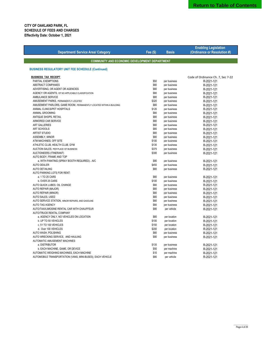**Enabling Legislation**

|                                                                     |           |              | <b>Enabling Legislation</b>       |
|---------------------------------------------------------------------|-----------|--------------|-----------------------------------|
| <b>Department/ Service Area/ Category</b>                           | Fee $(S)$ | <b>Basis</b> | (Ordinance or Resolution #)       |
|                                                                     |           |              |                                   |
| <b>COMMUNITY AND ECONOMIC DEVELOPMENT DEPARTMENT</b>                |           |              |                                   |
| <b>BUSINESS REGULATORY UNIT FEE SCHEDULE (Continued)</b>            |           |              |                                   |
| <b>BUSINESS TAX RECEIPT</b>                                         |           |              | Code of Ordinance Ch. 7, Sec 7-22 |
| PARTIAL EXEMPTIONS                                                  | \$50      | per business | R-2021-121                        |
| ABSTRACT COMPANIES                                                  | \$80      | per business | R-2021-121                        |
| ADVERTISING, OR AGENT OR AGENCIES                                   | \$80      | per business | R-2021-121                        |
| AGENCY OR AGENTS, OF NO APPLICABLE CLASSIFICATION                   | \$80      | per business | R-2021-121                        |
| AMBULANCE SERVICE                                                   | \$80      | per business | R-2021-121                        |
| AMUSEMENT PARKS, PERMANENTLY LOCATED                                | \$320     | per business | R-2021-121                        |
| AMUSEMENT PARLORS, GAME ROOM, PERMANENTLY LOCATED WITHIN A BUILDING | \$80      | per business | R-2021-121                        |
| ANIMAL CLINICS/PET HOSPITALS                                        | \$120     | per business | R-2021-121                        |
| ANIMAL GROOMING                                                     | \$80      | per business | R-2021-121                        |
| ANTIQUE SHOPS, RETAIL                                               | \$80      | per business | R-2021-121                        |
| ARMORED CAR SERVICE                                                 | \$80      | per business | R-2021-121                        |
| <b>ART GALLERIES</b>                                                | \$80      | per business | R-2021-121                        |
| ART SCHOOLS                                                         | \$80      | per business | R-2021-121                        |
| <b>ARTIST STUDIO</b>                                                | \$80      | per business | R-2021-121                        |
| ASSEMBLY, MINOR                                                     | \$80      | per business | R-2021-121                        |
| ATM MACHINES, OFF SITE                                              | \$100     | per business | R-2021-121                        |
| ATHLETIC CLUB, HEALTH CLUB, GYM                                     | \$135     | per business | R-2021-121                        |
| AUCTION SALES, PER PLACE OF BUSINESS                                | \$375     | per business | R-2021-121                        |
| AUCTIONEERS (ITINERANT)                                             | \$300     | per business | R-2021-121                        |
| AUTO BODY, FRAME AND TOP                                            |           |              |                                   |
| a. WITH PAINTING (SPRAY BOOTH REQUIRED)N/C                          | \$80      | per business | R-2021-121                        |
| <b>AUTO DEALER</b>                                                  | \$450     | per business | R-2021-121                        |
| <b>AUTO DETAILING</b>                                               | \$80      | per business | R-2021-121                        |
| AUTO PARKING LOTS FOR RENT:                                         |           |              |                                   |
| a. 1 TO 25 CARS                                                     | \$80      | per business | R-2021-121                        |
| b. OVER 25 CARS                                                     | \$100     | per business | R-2021-121                        |
| AUTO QUICK LUBES, OIL CHANGE                                        | \$80      | per business | R-2021-121                        |
| AUTO REPAIR (MAJOR)                                                 | \$80      | per business | R-2021-121                        |
| <b>AUTO REPAIR (MINOR)</b>                                          | \$80      | per business | R-2021-121                        |
| AUTO SALES, USED                                                    | \$80      | per business | R-2021-121                        |
| AUTO SERVICE STATION, MINOR REPAIRS, AND GASOLINE                   | \$80      | per business | R-2021-121                        |
| <b>AUTO TAG AGENCY</b>                                              | \$80      | per business | R-2021-121                        |
| AUTO/TAXI/LIMOSINE RENTAL CAR WITH CHAUFFEUR                        | \$80      | per vehicle  | R-2021-121                        |
| AUTO/TRUCK RENTAL COMPANY                                           |           |              |                                   |
| a. AGENCY ONLY, NO VEHICLES ON LOCATION                             | \$80      | per location | R-2021-121                        |
| b. UP TO 50 VEHICLES                                                | \$100     | per location | R-2021-121                        |
| c. 51 TO 100 VEHICLES                                               | \$150     | per location | R-2021-121                        |
| d. Over 100 VEHICLES                                                | \$200     | per location | R-2021-121                        |
| AUTO WASH, POLISHING                                                | \$80      | per business | R-2021-121                        |
| AUTO WRECKING SERVICE, AND HAULING                                  | \$80      | per business | R-2021-121                        |
| AUTOMATIC AMUSEMENT MACHINES                                        |           |              |                                   |
| a. DISTRIBUTOR                                                      | \$135     | per business |                                   |
| b. EACH MACHINE, GAME, OR DEVICE                                    | \$50      | per machine  | R-2021-121<br>R-2021-121          |
| AUTOMATIC WEIGHING MACHINES, EACH MACHINE                           | \$10      |              |                                   |
| AUTOMOBILE TRANSPORTATION (VANS, MINI-BUSES), EACH VEHICLE          | \$80      | per machine  | R-2021-121                        |
|                                                                     |           | per vehicle  | R-2021-121                        |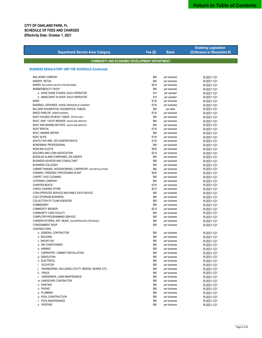|                                                             |              |                              | <b>Enabling Legislation</b> |  |  |  |
|-------------------------------------------------------------|--------------|------------------------------|-----------------------------|--|--|--|
| <b>Department/ Service Area/ Category</b>                   | Fee $(S)$    | <b>Basis</b>                 | (Ordinance or Resolution #) |  |  |  |
|                                                             |              |                              |                             |  |  |  |
| <b>COMMUNITY AND ECONOMIC DEVELOPMENT DEPARTMENT</b>        |              |                              |                             |  |  |  |
|                                                             |              |                              |                             |  |  |  |
| <b>BUSINESS REGULATORY UNIT FEE SCHEDULE (Continued)</b>    |              |                              |                             |  |  |  |
|                                                             |              |                              |                             |  |  |  |
| <b>BAIL BOND COMPANY</b>                                    | \$80         | per business                 | R-2021-121                  |  |  |  |
| <b>BAKERY, RETAIL</b>                                       | \$80         | per business                 | R-2021-121                  |  |  |  |
| BANKS, INCLUDING ON-SITE ATM MACHINES                       | \$210        | per business                 | R-2021-121                  |  |  |  |
| <b>BARBER/BEAUTY SHOP</b>                                   | \$80         | per business                 | R-2021-121                  |  |  |  |
| a. SHOE SHINE STANDS, EACH OPERATOR                         | \$10         | per operator                 | R-2021-121                  |  |  |  |
| b. MANICURIST IN SHOP, EACH OPERATOR                        | \$10         | per operator                 | R-2021-121                  |  |  |  |
| <b>BARS</b>                                                 | \$135        | per business                 | R-2021-121                  |  |  |  |
| BASEBALL GROUNDS, WHERE ADMISSION IS CHARGED                | \$135        | per business                 | R-2021-121                  |  |  |  |
| BILLIARD ROOMS/POOL ROOMS/POOL TABLES                       | \$50         | per table                    | R-2021-121                  |  |  |  |
| BINGO PARLOR, (FREESTANDING)                                | \$135        | per business                 | R-2021-121                  |  |  |  |
| BOAT HOUSES OR BOAT YARDS, OFFICE ONLY                      | \$80         | per business                 | R-2021-121                  |  |  |  |
| BOAT, SHIP, YACHT BROKER, SALES AND SERVICE                 | \$80         | per business                 | R-2021-121                  |  |  |  |
| BOAT AND MARINE MOTORS, SALES AND SERVICE                   | \$80         | per business                 | R-2021-121                  |  |  |  |
| <b>BOAT RENTAL</b>                                          | \$135        | per business                 | R-2021-121                  |  |  |  |
| <b>BOAT, MARINE REPAIR</b>                                  | \$80         | per business                 | R-2021-121                  |  |  |  |
| <b>BOAT SLIPS</b>                                           | \$135        | per business                 | R-2021-121                  |  |  |  |
| BOATS FOR HIRE, OR CHARTER BOATS                            | \$135        | per business                 | R-2021-121                  |  |  |  |
| BONDSMAN, PROFESSIONAL                                      | \$80         | per business                 | R-2021-121                  |  |  |  |
| <b>BOWLING ALLEYS</b>                                       | \$200        | per business                 | R-2021-121                  |  |  |  |
| <b>BUILDING AND LOAN ASSOCIATION</b>                        | \$210        | per business                 | R-2021-121                  |  |  |  |
| BURGLAR ALARM COMPANIES, OR AGENTS                          | \$80<br>\$80 | per business                 | R-2021-121                  |  |  |  |
| BUSINESS ADVISOR AND CONSULTANT<br><b>BUSINESS COLLEGES</b> |              | per business                 | R-2021-121                  |  |  |  |
| CABINET MAKING, WOODWORKING, CARPENTRY (NO INSTALLATION)    | \$80<br>\$80 | per business                 | R-2021-121                  |  |  |  |
| CANNING, FREEZING, PROCESSING PLANT                         | \$200        | per business                 | R-2021-121<br>R-2021-121    |  |  |  |
| CARPET, RUG CLEANING                                        | \$80         | per business<br>per business | R-2021-121                  |  |  |  |
| <b>CATERING COMPANY</b>                                     | \$80         | per business                 | R-2021-121                  |  |  |  |
| <b>CHARTER BOATS</b>                                        | \$135        | per business                 | R-2021-121                  |  |  |  |
| <b>CHECK CASHING STORE</b>                                  | \$210        | per business                 | R-2021-121                  |  |  |  |
| COIN-OPERATED SERVICE MACHINES, EACH DEVICE                 | \$80         | per business                 | R-2021-121                  |  |  |  |
| COLD STORAGE BUSINESS                                       | \$80         | per business                 | R-2021-121                  |  |  |  |
| COLLECTION OF CLAIM AGENCIES                                | \$80         | per business                 | R-2021-121                  |  |  |  |
| <b>COMMISSARY</b>                                           | \$80         | per business                 | R-2021-121                  |  |  |  |
| <b>COMMODITY BROKER</b>                                     | \$210        | per business                 | R-2021-121                  |  |  |  |
| COMMUNITY CARE FACILITY                                     | \$80         | per business                 | R-2021-121                  |  |  |  |
| COMPUTER PROGRAMMING SERVICE                                | \$80         | per business                 | R-2021-121                  |  |  |  |
| CONSERVATORIES, ART, MUSIC (SOUNDPROOFED FOR MUSIC)         | \$80         | per business                 | R-2021-121                  |  |  |  |
| <b>CONSIGNMENT SHOP</b>                                     | \$80         | per business                 | R-2021-121                  |  |  |  |
| CONTRACTORS:                                                |              |                              |                             |  |  |  |
| a. GENERAL CONTRACTOR                                       | \$80         | per business                 | R-2021-121                  |  |  |  |
| b. BUILDING                                                 | \$80         | per business                 | R-2021-121                  |  |  |  |
| c. BACKFLOW                                                 | \$80         | per business                 | R-2021-121                  |  |  |  |
| d. AIR CONDITIONING                                         | \$80         | per business                 | R-2021-121                  |  |  |  |
| e. AWNING                                                   | \$80         | per business                 | R-2021-121                  |  |  |  |
| f. CARPENTRY, CABINET INSTALLATION                          | \$80         | per business                 | R-2021-121                  |  |  |  |
| g. DEMOLITION                                               | \$80         | per business                 | R-2021-121                  |  |  |  |
| h. ELECTRICAL                                               | \$80         | per business                 | R-2021-121                  |  |  |  |
| i. ELEVATOR                                                 | \$80         | per business                 | R-2021-121                  |  |  |  |
| ENGINEERING, INCLUDING UTILITY, BRIDGE, SEWER, ETC.         | \$80         | per business                 | R-2021-121                  |  |  |  |
| k. FENCE                                                    | \$80         | per business                 | R-2021-121                  |  |  |  |
| I. GARDENERS, LAWN MAINTENANCE                              | \$80         | per business                 | R-2021-121                  |  |  |  |
| m. LANDSCAPE CONTRACTOR                                     | \$80         | per business                 | R-2021-121                  |  |  |  |
| n. PAINTING                                                 | \$80         | per business                 | R-2021-121                  |  |  |  |
| o. PAVING                                                   | \$80         | per business                 | R-2021-121                  |  |  |  |
| p. PLUMBING                                                 | \$80         | per business                 | R-2021-121                  |  |  |  |
| q. POOL CONSTRUCTION                                        | \$80         | per business                 | R-2021-121                  |  |  |  |
| r. POOL MAINTENANCE                                         | \$80         | per business                 | R-2021-121                  |  |  |  |
| s. ROOFING                                                  | \$80         | per business                 | R-2021-121                  |  |  |  |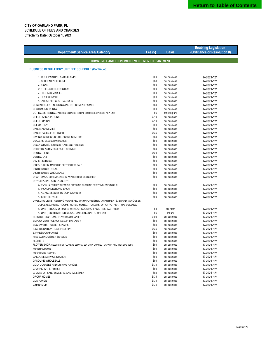|                                                                                    |           |                 | <b>Enabling Legislation</b> |
|------------------------------------------------------------------------------------|-----------|-----------------|-----------------------------|
| <b>Department/ Service Area/ Category</b>                                          | Fee $($)$ | <b>Basis</b>    | (Ordinance or Resolution #) |
|                                                                                    |           |                 |                             |
| <b>COMMUNITY AND ECONOMIC DEVELOPMENT DEPARTMENT</b>                               |           |                 |                             |
| <b>BUSINESS REGULATORY UNIT FEE SCHEDULE (Continued)</b>                           |           |                 |                             |
|                                                                                    |           |                 |                             |
| t. ROOF PAINTING AND CLEANING                                                      | \$80      | per business    | R-2021-121                  |
| u. SCREEN ENCLOSURES                                                               | \$80      | per business    | R-2021-121                  |
| v. SIGNS                                                                           | \$80      | per business    | R-2021-121                  |
| w. STEEL, STEEL ERECTION                                                           | \$80      | per business    | R-2021-121                  |
| x. TILE AND MARBLE                                                                 | \$80      | per business    | R-2021-121                  |
| y. TREE SERVICE                                                                    | \$80      | per business    | R-2021-121                  |
| z. ALL OTHER CONTRACTORS                                                           | \$80      | per business    | R-2021-121                  |
| CONVALESCENT, NURSING AND RETIREMENT HOMES                                         | \$80      | per business    | R-2021-121                  |
| COSTUMERS, RENTAL                                                                  | \$80      | per business    | R-2021-121                  |
| COTTAGES, RENTAL, WHERE 2 OR MORE RENTAL COTTAGES OPERATE AS A UNIT                | \$6       | per living unit | R-2021-121                  |
| <b>CREDIT ASSOCIATIONS</b>                                                         | \$210     | per business    | R-2021-121                  |
| <b>CREDIT UNION</b>                                                                | \$210     | per business    | R-2021-121                  |
| CREMATORY                                                                          | \$80      | per business    | R-2021-121                  |
| DANCE ACADEMIES                                                                    | \$80      | per business    | R-2021-121                  |
| DANCE HALLS. FOR PROFIT                                                            | \$135     | per business    | R-2021-121                  |
| DAY NURSERIES OR CHILD CARE CENTERS                                                | \$80      | per business    | R-2021-121                  |
| DEALERS, SECONDHAND GOODS                                                          | \$80      | per business    | R-2021-121                  |
| DECORATORS, BUNTINGS, FLAGS, AND PENNANTS                                          | \$80      | per business    | R-2021-121                  |
| DELIVERY AND MESSENGER SERVICE                                                     | \$80      | per business    | R-2021-121                  |
| <b>DENTAL CLINIC</b>                                                               | \$120     | per business    | R-2021-121                  |
| <b>DENTAL LAB</b>                                                                  | \$80      | per business    | R-2021-121                  |
| <b>DIAPER SERVICE</b>                                                              | \$80      | per business    | R-2021-121                  |
| DIRECTORIES, MAKING OR OFFERING FOR SALE                                           | \$80      | per business    | R-2021-121                  |
| DISTRIBUTOR, RETAIL                                                                | \$80      | per business    | R-2021-121                  |
| DISTRIBUTOR, WHOLESALE                                                             | \$80      | per business    | R-2021-121                  |
| DRAFTSMAN, NOT EMPLOYED BY AN ARCHITECT OR ENGINEER                                | \$80      | per business    | R-2021-121                  |
| DRY CLEANING AND LAUNDRY:                                                          |           |                 |                             |
| a. PLANTS FOR DRY CLEANING, PRESSING, BLOCKING OR DYEING, ONE (1) OR ALL           | \$80      | per business    | R-2021-121                  |
| b. PICKUP STATIONS, EACH                                                           | \$80      | per business    | R-2021-121                  |
| c. AS ACCESSORY TO COIN LAUNDRY                                                    | \$80      | per business    | R-2021-121                  |
| d. SELF-SERVICE                                                                    | \$80      | per business    | R-2021-121                  |
| DWELLING UNITS, RENTING FURNISHED OR UNFURNISHED APARTMENTS, BOARDINGHOUSES,       |           |                 |                             |
| DUPLEXES, HOTEL ROOMS, HOTEL, MOTEL, TRAILERS, OR ANY OTHER TYPE BUILDING:         |           |                 |                             |
| a. ONE (1) ROOM OR MORE WITHOUT COOKING FACILITIES, EACH ROOM                      | \$3       | per room        | R-2021-121                  |
| b. ONE (1) OR MORE INDIVIDUAL DWELLING UNITS, PER UNIT                             | \$6       | per unit        | R-2021-121                  |
| ELECTRIC LIGHT AND POWER COMPANIES                                                 | \$300     | per business    | R-2021-121                  |
| EMPLOYMENT AGENCY (EXCEPT DAY LABOR)                                               | \$80      | per business    | R-2021-121                  |
| <b>ENGRAVERS, RUBBER STAMPS</b>                                                    | \$80      | per business    | R-2021-121                  |
| EXCURSION BOATS, SIGHTSEEING                                                       | \$135     | per business    | R-2021-121                  |
| <b>EXPRESS COMPANIES</b>                                                           | \$80      | per business    | R-2021-121                  |
| FIRE EXTINGUISHER SERVICE                                                          | \$80      | per business    | R-2021-121                  |
| <b>FLORISTS</b>                                                                    | \$80      | per business    | R-2021-121                  |
| FLOWER SHOP, SELLING CUT FLOWERS SEPARATELY OR IN CONNECTION WITH ANOTHER BUSINESS | \$80      | per business    | R-2021-121                  |
| <b>FUNERAL HOME</b>                                                                | \$80      | per business    | R-2021-121                  |
| <b>FURNITURE REPAIR</b>                                                            | \$80      | per business    | R-2021-121                  |
| <b>GASOLINE SERVICE STATION</b>                                                    | \$80      | per business    | R-2021-121                  |
| GASOLINE, WHOLESALE                                                                | \$80      | per business    | R-2021-121                  |
| GOLF COURSES AND DRIVING RANGES                                                    | \$135     | per business    | R-2021-121                  |
| <b>GRAPHIC ARTS, ARTIST</b>                                                        | \$80      | per business    | R-2021-121                  |
| GRAVEL OR SAND DEALERS, AND SALESMEN                                               | \$80      | per business    | R-2021-121                  |
| <b>GROUP HOMES</b>                                                                 | \$135     | per business    | R-2021-121                  |
| <b>GUN RANGE</b>                                                                   | \$135     | per business    | R-2021-121                  |
| GYMNASIUM                                                                          | \$135     | per business    | R-2021-121                  |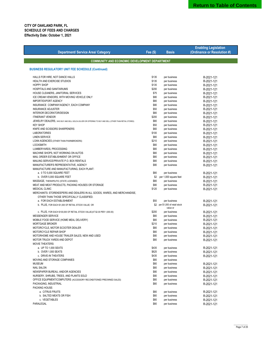|                                                                                                        |           |                                 | <b>Enabling Legislation</b> |
|--------------------------------------------------------------------------------------------------------|-----------|---------------------------------|-----------------------------|
| <b>Department/ Service Area/ Category</b>                                                              | Fee $(S)$ | <b>Basis</b>                    | (Ordinance or Resolution #) |
|                                                                                                        |           |                                 |                             |
| <b>COMMUNITY AND ECONOMIC DEVELOPMENT DEPARTMENT</b>                                                   |           |                                 |                             |
| <b>BUSINESS REGULATORY UNIT FEE SCHEDULE (Continued)</b>                                               |           |                                 |                             |
|                                                                                                        |           |                                 |                             |
| HALLS FOR HIRE, NOT DANCE HALLS                                                                        | \$135     | per business                    | R-2021-121                  |
| HEALTH AND EXERCISE STUDIOS                                                                            | \$135     | per business                    | R-2021-121                  |
| <b>HOPPY SHOP</b>                                                                                      | \$135     | per business                    | R-2021-121                  |
| HOSPITALS AND SANITARIUMS                                                                              | \$200     | per business                    | R-2021-121                  |
| HOUSE CLEANERS, JANITORIAL SERVICES                                                                    | \$75      | per business                    | R-2021-121                  |
| ICE CREAM VENDORS, WITH MOVING VEHICLE ONLY                                                            | \$80      | per business                    | R-2021-121                  |
| IMPORT/EXPORT AGENCY                                                                                   | \$80      | per business                    | R-2021-121                  |
| INSURANCE COMPANY/AGENCY, EACH COMPANY                                                                 | \$80      | per business                    | R-2021-121                  |
| <b>INSURANCE ADJUSTER</b>                                                                              | \$50      | per business                    | R-2021-121                  |
| INTERIOR DECORATOR/DESIGN                                                                              | \$80      | per business                    | R-2021-121                  |
| <b>ITINERANT VENDOR</b>                                                                                | \$200     | per business                    | R-2021-121                  |
| JEWELRY DEALERS, WHO BUY AND SELL GOLD & SILVER OR OFFERING TO BUY AND SELL (OTHER THAN RETAIL STORES) | \$80      | per business                    | R-2021-121                  |
| <b>KEY SHOP</b>                                                                                        | \$50      | per business                    | R-2021-121                  |
| KNIFE AND SCISSORS SHARPENERS                                                                          | \$60      | per business                    | R-2021-121                  |
| <b>LABORATORIES</b>                                                                                    | \$100     | per business                    | R-2021-121                  |
| <b>LINEN SERVICE</b>                                                                                   | \$80      | per business                    | R-2021-121                  |
| LOAN AGENCIES (OTHER THAN PAWNBROKERS)                                                                 | \$210     | per business                    | R-2021-121                  |
| <b>LOCKSMITH</b>                                                                                       | \$80      | per business                    | R-2021-121                  |
| LUMBERYARDS, PROCESSING                                                                                | \$80      | per business                    | R-2021-121                  |
| MACHINE SHOPS, NOT WORKING ON AUTOS                                                                    | \$80      | per business                    | R-2021-121                  |
| MAIL ORDER ESTABLISHMENT OR OFFICE                                                                     | \$80      | per business                    | R-2021-121                  |
| MAILING SERVICE/PRIVATE P.O. BOX RENTALS                                                               | \$80      | per business                    | R-2021-121                  |
| MANUFACTURER'S REPRESENTATIVE, AGENCY                                                                  | \$80      | per business                    | R-2021-121                  |
| MANUFACTURE AND MANUFACTURING, EACH PLANT:                                                             |           |                                 |                             |
| a. 0 TO 5,000 SQUARE FEET                                                                              | \$80      | per business                    | R-2021-121                  |
| b. OVER 5,000 SQUARE FEET                                                                              | \$2       | per 1,000 square feet           | R-2021-121                  |
| MASSAGE, THERAPEUTIC (STATE LICENSED)                                                                  | \$80      | per business                    | R-2021-121                  |
| MEAT AND MEAT PRODUCTS, PACKING HOUSES OR STORAGE                                                      | \$80      | per business                    | R-2021-121                  |
| <b>MEDICAL CLINIC</b>                                                                                  | \$120     | per business                    | R-2021-121                  |
| MERCHANTS: STOREKEEPERS AND DEALERS IN ALL GOODS, WARES, AND MERCHANDISE,                              |           |                                 |                             |
| OTHER THAN THOSE SPECIFICALLY CLASSIFIED.                                                              |           |                                 |                             |
| a. FOR EACH ESTABLISHMENT                                                                              | \$50      | per business                    | R-2021-121                  |
| b. PLUS, FOR EACH \$1,000 OF RETAIL STOCK VALUE OR                                                     |           | \$2 per \$1,000 of retail stock | R-2021-121                  |
|                                                                                                        |           | value or                        |                             |
| c. PLUS, FOR EACH \$100,000 OF RETAIL STOCK VALUE(AT \$2.00 PER 1,000.00)                              | \$200     | per business                    | R-2021-121                  |
| MESSENGER SERVICE                                                                                      | \$80      | per business                    | R-2021-121                  |
| MOBILE FOOD SERVICE (HOME MEAL DELIVERY)                                                               | \$80      | per business                    | R-2021-121                  |
| <b>MORTGAGE BROKER</b>                                                                                 | \$210     | per business                    | R-2021-121                  |
| MOTORCYCLE, MOTOR SCOOTER DEALER                                                                       | \$80      | per business                    | R-2021-121                  |
| MOTORCYCLE REPAIR SHOP                                                                                 | \$80      | per business                    | R-2021-121                  |
| MOTORHOME AND HOUSE TRAILER SALES, NEW AND USED                                                        | \$80      | per business                    | R-2021-121                  |
| MOTOR TRUCK YARDS AND DEPOT                                                                            | \$80      | per business                    | R-2021-121                  |
| <b>MOVIE THEATERS:</b>                                                                                 |           |                                 |                             |
| a. UP TO 1,000 SEATS                                                                                   | \$435     | per business                    | R-2021-121                  |
| b. OVER 1,000 SEATS                                                                                    | \$625     | per business                    | R-2021-121                  |
| c. DRIVE-IN THEATERS                                                                                   | \$435     | per business                    | R-2021-121                  |
| MOVING AND STORAGE COMPANIES                                                                           | \$80      | per business                    |                             |
| <b>MUSEUM</b>                                                                                          | \$80      | per business                    | R-2021-121                  |
| <b>NAIL SALON</b>                                                                                      | \$80      | per business                    | R-2021-121                  |
| NEWSPAPER BUREAU, AND/OR AGENCIES                                                                      | \$80      | per business                    | R-2021-121                  |
| NURSERY, SHRUBS, TREES, AND PLANTS SOLD                                                                | \$80      | per business                    | R-2021-121                  |
| OFFICE EQUIPMENT/COMPUTERS (ACCESSORY RECONDITIONED PREOWNED SALES)                                    | \$80      | per business                    | R-2021-121                  |
| PACKAGING, INDUSTRIAL                                                                                  | \$80      | per business                    | R-2021-121                  |
| PACKING HOUSE:                                                                                         |           |                                 |                             |
| a. CITRUS FRUITS                                                                                       | \$80      | per business                    | R-2021-121                  |
| b. SALTED MEATS OR FISH                                                                                | \$80      | per business                    | R-2021-121                  |
| c. VEGETABLES                                                                                          | \$80      | per business                    |                             |
| PARALEGAL                                                                                              | \$80      | per business                    | R-2021-121                  |
|                                                                                                        |           |                                 | R-2021-121                  |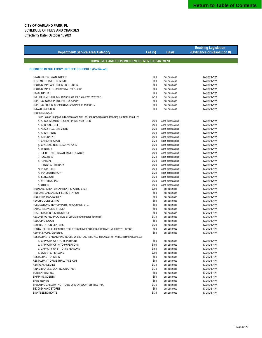|                                                                                                                                         |                |                                        | <b>Enabling Legislation</b> |  |  |  |
|-----------------------------------------------------------------------------------------------------------------------------------------|----------------|----------------------------------------|-----------------------------|--|--|--|
| <b>Department/ Service Area/ Category</b>                                                                                               | Fee (\$)       | <b>Basis</b>                           | (Ordinance or Resolution #) |  |  |  |
|                                                                                                                                         |                |                                        |                             |  |  |  |
| <b>COMMUNITY AND ECONOMIC DEVELOPMENT DEPARTMENT</b>                                                                                    |                |                                        |                             |  |  |  |
|                                                                                                                                         |                |                                        |                             |  |  |  |
| <b>BUSINESS REGULATORY UNIT FEE SCHEDULE (Continued)</b>                                                                                |                |                                        |                             |  |  |  |
|                                                                                                                                         |                |                                        |                             |  |  |  |
| PAWN SHOPS, PAWNBROKER                                                                                                                  | \$80           | per business                           | R-2021-121                  |  |  |  |
| PEST AND TERMITE CONTROL                                                                                                                | \$80           | per business                           | R-2021-121                  |  |  |  |
| PHOTOGRAPH GALLERIES OR STUDIOS                                                                                                         | \$80           | per business                           | R-2021-121                  |  |  |  |
| PHOTOGRAPHERS, COMMERCIAL, FREE-LANCE                                                                                                   | \$80           | per business                           | R-2021-121                  |  |  |  |
| <b>PIANO TUNERS</b>                                                                                                                     | \$60           | per business                           | R-2021-121                  |  |  |  |
| PRECIOUS METALS (BUY AND SELL, OTHER THAN JEWELRY STORE)                                                                                | \$210          | per business                           | R-2021-121                  |  |  |  |
| PRINTING, QUICK PRINT, PHOTOCOPYING                                                                                                     | \$80           | per business                           | R-2021-121                  |  |  |  |
| PRINTING SHOPS, BLUEPRINTING, NEWSPAPERS, MICROFILM                                                                                     | \$80           | per business                           | R-2021-121                  |  |  |  |
| PRIVATE SCHOOLS                                                                                                                         | \$80           | per business                           | R-2021-121                  |  |  |  |
| PROFESSIONALS:                                                                                                                          |                |                                        |                             |  |  |  |
| Each Person Engaged In Business And Not The Firm Or Corporation, Including But Not Limited To:<br>a. ACCOUNTANTS, BOOKKEEPERS, AUDITORS | \$120          | each professional                      |                             |  |  |  |
| b. ACUPUNCTURE                                                                                                                          | \$120          |                                        | R-2021-121                  |  |  |  |
| c. ANALYTICAL CHEMISTS                                                                                                                  |                | each professional                      | R-2021-121                  |  |  |  |
|                                                                                                                                         | \$120          | each professional                      | R-2021-121                  |  |  |  |
| d. ARCHITECTS<br>e. ATTORNEYS                                                                                                           | \$120          | each professional                      | R-2021-121                  |  |  |  |
|                                                                                                                                         | \$120          | each professional                      | R-2021-121                  |  |  |  |
| f. CHIROPRACTOR                                                                                                                         | \$120          | each professional                      | R-2021-121                  |  |  |  |
| g. CIVIL ENGINEERS, SURVEYORS                                                                                                           | \$120          | each professional                      | R-2021-121                  |  |  |  |
| h. DENTISTS                                                                                                                             | \$120          | each professional                      | R-2021-121                  |  |  |  |
| DETECTIVE, PRIVATE INVESTIGATOR<br>i.                                                                                                   | \$120          | each professional                      | R-2021-121                  |  |  |  |
| <b>DOCTORS</b><br>j.                                                                                                                    | \$120          | each professional                      | R-2021-121                  |  |  |  |
| k. OPTICAL<br>I. PHYSICAL THERAPY                                                                                                       | \$120          | each professional<br>each professional | R-2021-121                  |  |  |  |
| m. PODIATRIST                                                                                                                           | \$120<br>\$120 |                                        | R-2021-121                  |  |  |  |
| n. PSYCHOTHERAPY                                                                                                                        | \$120          | each professional                      | R-2021-121                  |  |  |  |
|                                                                                                                                         |                | each professional                      | R-2021-121                  |  |  |  |
| o. SURGEONS                                                                                                                             | \$120          | each professional                      | R-2021-121                  |  |  |  |
| p. VETERINARIAN                                                                                                                         | \$120          | each professional                      | R-2021-121                  |  |  |  |
| q. OTHER                                                                                                                                | \$120<br>\$200 | each professional                      | R-2021-121                  |  |  |  |
| PROMOTERS (ENTERTAINMENT, SPORTS, ETC.)<br>PROPANE GAS SALES (FILLING STATION)                                                          | \$80           | per business<br>per business           | R-2021-121                  |  |  |  |
| PROPERTY MANAGEMENT                                                                                                                     | \$80           | per business                           | R-2021-121<br>R-2021-121    |  |  |  |
| PSYCHIC CONSULTING                                                                                                                      | \$80           | per business                           | R-2021-121                  |  |  |  |
| PUBLICATIONS, NEWSPAPERS, MAGAZINES, ETC.                                                                                               | \$80           | per business                           | R-2021-121                  |  |  |  |
| RADIO, TELEVISION STUDIO                                                                                                                | \$80           | per business                           | R-2021-121                  |  |  |  |
| REAL ESTATE BROKERS/OFFICE                                                                                                              | \$80           | per business                           | R-2021-121                  |  |  |  |
| RECORDING AND PRACTICE STUDIOS (soundproofed for music)                                                                                 | \$135          | per business                           | R-2021-121                  |  |  |  |
| REDUCING SALON                                                                                                                          | \$80           | per business                           | R-2021-121                  |  |  |  |
| REHABILITATION CENTERS                                                                                                                  | \$120          | per business                           | R-2021-121                  |  |  |  |
| RENTAL SERVICE: FURNITURE, TOOLS, ETC.(SERVICE NOT CONNECTED WITH MERCHANT'S LICENSE)                                                   | \$80           | per business                           | R-2021-121                  |  |  |  |
| REPAIR SHOPS, GENERAL                                                                                                                   | \$80           | per business                           | R-2021-121                  |  |  |  |
| RESTAURANTS AND DINING ROOM, WHERE FOOD IS SERVED IN CONNECTION WITH A PRIMARY BUSINESS:                                                |                |                                        |                             |  |  |  |
| a. CAPACITY OF 1 TO 15 PERSONS                                                                                                          | \$80           | per business                           | R-2021-121                  |  |  |  |
| b. CAPACITY OF 16 TO 50 PERSONS                                                                                                         | \$100          | per business                           | R-2021-121                  |  |  |  |
| c. CAPACITY OF 51 TO 150 PERSONS                                                                                                        | \$150          | per business                           | R-2021-121                  |  |  |  |
| d. OVER 150 PERSONS                                                                                                                     | \$200          | per business                           | R-2021-121                  |  |  |  |
| RESTAURANT, DRIVE-IN                                                                                                                    | \$80           | per business                           | R-2021-121                  |  |  |  |
| RESTAURANT, DRIVE-THRU, TAKE-OUT                                                                                                        | \$80           | per business                           | R-2021-121                  |  |  |  |
| <b>RIDING ACADEMIES</b>                                                                                                                 | \$135          | per business                           | R-2021-121                  |  |  |  |
| RINKS, BICYCLE, SKATING OR OTHER                                                                                                        | \$135          | per business                           | R-2021-121                  |  |  |  |
| <b>SCREENPRINTING</b>                                                                                                                   | \$80           | per business                           | R-2021-121                  |  |  |  |
| SHIPPING, AGENTS                                                                                                                        | \$80           | per business                           | R-2021-121                  |  |  |  |
| SHOE REPAIR                                                                                                                             | \$80           | per business                           | R-2021-121                  |  |  |  |
| SHOOTING GALLERY, NOT TO BE OPERATED AFTER 11:00 P.M.                                                                                   | \$135          | per business                           | R-2021-121                  |  |  |  |
| SECOND-HAND STORES                                                                                                                      | \$80           | per business                           | R-2021-121                  |  |  |  |
| SIGHTSEEING BOATS                                                                                                                       | \$135          | per business                           | R-2021-121                  |  |  |  |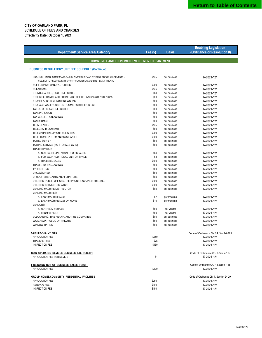| <b>Department/ Service Area/ Category</b>                                                                                                        | <b>Fee (\$)</b> | <b>Basis</b> | <b>Enabling Legislation</b><br>(Ordinance or Resolution #) |
|--------------------------------------------------------------------------------------------------------------------------------------------------|-----------------|--------------|------------------------------------------------------------|
| <b>COMMUNITY AND ECONOMIC DEVELOPMENT DEPARTMENT</b>                                                                                             |                 |              |                                                            |
| <b>BUSINESS REGULATORY UNIT FEE SCHEDULE (Continued)</b>                                                                                         |                 |              |                                                            |
| SKATING RINKS, SKATEBOARD PARKS, WATER SLIDE AND OTHER OUTDOOR AMUSEMENTS -<br>SUBJECT TO REQUIREMENTS OF CITY COMMISSION AND SITE PLAN APPROVAL | \$135           | per business | R-2021-121                                                 |
|                                                                                                                                                  |                 |              |                                                            |
| SOFT DRINKS: MANUFACTURERS                                                                                                                       | \$200           | per business | R-2021-121                                                 |
| <b>SOLARIUMS</b>                                                                                                                                 | \$135           | per business | R-2021-121                                                 |
| STENOGRAPHER, COURT REPORTER                                                                                                                     | \$80            | per business | R-2021-121                                                 |
| STOCK EXCHANGE AND BROKERAGE OFFICE, INCLUDING MUTUAL FUNDS                                                                                      | \$80            | per business | R-2021-121                                                 |
| STONEY ARD OR MONUMENT WORKS                                                                                                                     | \$80            | per business | R-2021-121                                                 |
| STORAGE WAREHOUSE OR ROOMS, FOR HIRE OR USE                                                                                                      | \$80            | per business | R-2021-121                                                 |
| TAILOR OR SEAMSTRESS SHOP                                                                                                                        | \$80            | per business | R-2021-121                                                 |
| <b>TANNING SALON</b>                                                                                                                             | \$80            | per business | R-2021-121                                                 |
| TAX COLLECTION AGENCY                                                                                                                            | \$80            | per business | R-2021-121                                                 |
| <b>TAXIDERMIST</b>                                                                                                                               | \$80            | per business | R-2021-121                                                 |
| <b>TEEN CENTER</b>                                                                                                                               | \$135           | per business | R-2021-121                                                 |
| <b>TELEGRAPH COMPANY</b>                                                                                                                         | \$80            | per business | R-2021-121                                                 |
| TELEMARKETING/PHONE SOLICITING                                                                                                                   | \$200           | per business | R-2021-121                                                 |
| TELEPHONE SYSTEM AND COMPANIES                                                                                                                   | \$300           | per business | R-2021-121                                                 |
| <b>TOWEL SUPPLY</b>                                                                                                                              | \$80            | per business | R-2021-121                                                 |
| TOWING SERVICE (NO STORAGE YARD)                                                                                                                 | \$80            | per business | R-2021-121                                                 |
| <b>TRAILER PARKS:</b>                                                                                                                            |                 |              |                                                            |
|                                                                                                                                                  | \$80            |              |                                                            |
| a. NOT EXCEEDING 10 UNITS OR SPACES                                                                                                              |                 | per business | R-2021-121                                                 |
| b. FOR EACH ADDITIONAL UNIT OR SPACE                                                                                                             | \$4             | per business | R-2021-121                                                 |
| c. TRAILERS, SALES                                                                                                                               | \$100           | per business | R-2021-121                                                 |
| TRAVEL BUREAU, AGENCY                                                                                                                            | \$80            | per business | R-2021-121                                                 |
| TYPESETTING                                                                                                                                      | \$80            | per business | R-2021-121                                                 |
| <b>UNCLASSIFIED</b>                                                                                                                              | \$80            | per business | R-2021-121                                                 |
| UPHOLSTERER, AUTO AND FURNITURE                                                                                                                  | \$80            | per business | R-2021-121                                                 |
| UTILITIES, PUBLIC OFFICES, TELEPHONE EXCHANGE BUILDING                                                                                           | \$300           | per business | R-2021-121                                                 |
| UTILITIES, SERVICE DISPATCH                                                                                                                      | \$300           | per business | R-2021-121                                                 |
| <b>VENDING MACHINE DISTRIBUTOR</b>                                                                                                               | \$80            | per business | R-2021-121                                                 |
| <b>VENDING MACHINES:</b>                                                                                                                         |                 |              |                                                            |
| a. EACH MACHINE \$0.01                                                                                                                           | \$2             | per machine  | R-2021-121                                                 |
| b. EACH MACHINE \$0.05 OR MORE                                                                                                                   | \$10            | per machine  | R-2021-121                                                 |
| <b>VENDORS:</b>                                                                                                                                  |                 |              |                                                            |
| a. NOT FROM VEHICLE                                                                                                                              |                 |              |                                                            |
|                                                                                                                                                  | \$80            | per vendor   | R-2021-121                                                 |
| b. FROM VEHICLE                                                                                                                                  | \$80            | per vendor   | R-2021-121                                                 |
| VULCANIZING, TIRE REPAIR, AND TIRE COMPANIES                                                                                                     | \$80            | per business | R-2021-121                                                 |
| WATCHMAN, PUBLIC OR PRIVATE                                                                                                                      | \$60            | per business | R-2021-121                                                 |
| WINDOW TINTING                                                                                                                                   | \$80            | per business | R-2021-121                                                 |
| <b>CERTIFICATE OF USE</b>                                                                                                                        |                 |              | Code of Ordinance Ch. 24, Sec 24-285                       |
| APPLICATION FEE                                                                                                                                  | \$250           |              | R-2021-121                                                 |
| TRANSFER FEE                                                                                                                                     | \$75            |              |                                                            |
| <b>INSPECTION FEE</b>                                                                                                                            | \$150           |              | R-2021-121                                                 |
|                                                                                                                                                  |                 |              | R-2021-121                                                 |
| COIN OPERATED DEVICES BUSINESS TAX RECEIPT                                                                                                       |                 |              | Code of Ordinance Ch. 7, Sec 7-107                         |
| APPLICATION FEE PER DEVICE                                                                                                                       | \$1             |              | R-2021-121                                                 |
| <b>FIRE/GOING OUT OF BUSINESS SALES PERMIT</b>                                                                                                   |                 |              | Code of Ordinance Ch. 7, Section 7-55                      |
| APPLICATION FEE                                                                                                                                  | \$100           |              | R-2021-121                                                 |
| GROUP HOMES/COMMUNITY RESIDENTIAL FACILITIES                                                                                                     |                 |              | Code of Ordinance Ch. 7, Section 24-29                     |
| APPLICATION FEE                                                                                                                                  | \$250           |              | R-2021-121                                                 |
| <b>RENEWAL FEE</b>                                                                                                                               | \$100           |              |                                                            |
|                                                                                                                                                  |                 |              | R-2021-121                                                 |
| <b>INSPECTION FEE</b>                                                                                                                            | \$150           |              | R-2021-121                                                 |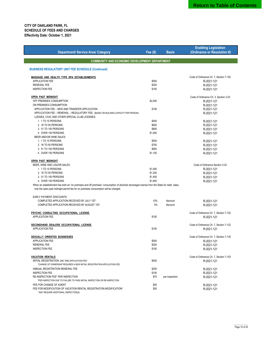| <b>Department/ Service Area/ Category</b>                                                                                                                                                                                           | Fee $(S)$ | <b>Basis</b>     | <b>Enabling Legislation</b><br>(Ordinance or Resolution #) |
|-------------------------------------------------------------------------------------------------------------------------------------------------------------------------------------------------------------------------------------|-----------|------------------|------------------------------------------------------------|
| <b>COMMUNITY AND ECONOMIC DEVELOPMENT DEPARTMENT</b>                                                                                                                                                                                |           |                  |                                                            |
| <b>BUSINESS REGULATORY UNIT FEE SCHEDULE (Continued)</b>                                                                                                                                                                            |           |                  |                                                            |
| <b>MASSAGE AND HEALTH TYPE SPA ESTABLISHMENTS</b>                                                                                                                                                                                   |           |                  | Code of Ordinance Ch. 7, Section 7-152                     |
| <b>APPLICATION FEE</b>                                                                                                                                                                                                              | \$500     |                  | R-2021-121                                                 |
| <b>RENEWAL FEE</b>                                                                                                                                                                                                                  | \$250     |                  | R-2021-121                                                 |
| <b>INSPECTION FEE</b>                                                                                                                                                                                                               | \$150     |                  | R-2021-121                                                 |
| <b>OPEN PAST MIDNIGHT</b>                                                                                                                                                                                                           |           |                  | Code of Ordinance Ch. 3, Section 3-23                      |
| OFF PREMISES CONSUMPTION                                                                                                                                                                                                            | \$2,000   |                  | R-2021-121                                                 |
| ON PREMISES CONSUMPTION:                                                                                                                                                                                                            |           |                  | R-2021-121                                                 |
| APPLICATION FEE - NEW AND TRANSFER APPLICATION                                                                                                                                                                                      | \$100     |                  | R-2021-121                                                 |
| APPLICATION FEE - RENEWAL - REGULATORY FEE: (BASED ON BUILDING CAPACITY PER PERSON).                                                                                                                                                |           |                  | R-2021-121                                                 |
| LODGES, CIVIC AND OTHER SPECIAL CLUB LICENSES:                                                                                                                                                                                      |           |                  |                                                            |
| 1. 1 TO 15 PERSONS                                                                                                                                                                                                                  | \$400     |                  | R-2021-121                                                 |
| 2. 16 TO 50 PERSONS                                                                                                                                                                                                                 | \$600     |                  | R-2021-121                                                 |
| 3. 51 TO 150 PERSONS                                                                                                                                                                                                                | \$800     |                  | R-2021-121                                                 |
| 4. OVER 150 PERSONS                                                                                                                                                                                                                 | \$1,000   |                  | R-2021-121                                                 |
| BEER AND/OR WINE SALES:                                                                                                                                                                                                             |           |                  |                                                            |
| 1. 1 TO 15 PERSONS                                                                                                                                                                                                                  | \$550     |                  | R-2021-121                                                 |
| 2. 16 TO 50 PERSONS                                                                                                                                                                                                                 | \$750     |                  |                                                            |
| 3. 51 TO 150 PERSONS                                                                                                                                                                                                                | \$950     |                  | R-2021-121                                                 |
| 4. OVER 150 PERSONS                                                                                                                                                                                                                 | \$1,150   |                  | R-2021-121                                                 |
|                                                                                                                                                                                                                                     |           |                  | R-2021-121                                                 |
| <b>OPEN PAST MIDNIGHT</b>                                                                                                                                                                                                           |           |                  |                                                            |
| BEER, WINE AND LIQUOR SALES:                                                                                                                                                                                                        |           |                  | Code of Ordinance Section 3-23                             |
| 1. 1 TO 15 PERSONS                                                                                                                                                                                                                  | \$1,050   |                  | R-2021-121                                                 |
| 2. 16 TO 50 PERSONS                                                                                                                                                                                                                 | \$1,250   |                  | R-2021-121                                                 |
| 3. 51 TO 150 PERSONS                                                                                                                                                                                                                | \$1,450   |                  | R-2021-121                                                 |
| 4. OVER 150 PERSONS                                                                                                                                                                                                                 | \$1,650   |                  | R-2021-121                                                 |
| When an establishment has both an "on premises and off premises" consumption of alcoholic beverages license from the State for retail sales,<br>only the open past midnight permit fee for on premises consumption will be charged. |           |                  |                                                            |
| <b>EARLY PAYMENT DISCOUNTS:</b>                                                                                                                                                                                                     |           |                  |                                                            |
| COMPLETED APPLICATION RECEIVED BY JULY 1ST:                                                                                                                                                                                         | 10%       | discount         | R-2021-121                                                 |
| COMPLETED APPLICATION RECEIVED BY AUGUST 1ST:                                                                                                                                                                                       | 5%        | discount         | R-2021-121                                                 |
| PSYCHIC CONSULTING OCCUPATIONAL LICENSE                                                                                                                                                                                             |           |                  | Code of Ordinance Ch. 7, Section 7-122                     |
| APPLICATION FEE                                                                                                                                                                                                                     | \$100     |                  | R-2021-121                                                 |
| SECONDHAND DEALERS OCCUPATIONAL LICENSE                                                                                                                                                                                             |           |                  | Code of Ordinance Ch. 7, Section 7-122                     |
| <b>APPLICATION FEE</b>                                                                                                                                                                                                              | \$100     |                  | R-2021-121                                                 |
| <b>SEXUALLY ORIENTED BUSINESSES</b>                                                                                                                                                                                                 |           |                  | Code of Ordinance Ch. 7, Section 7-135                     |
| APPLICATION FEE                                                                                                                                                                                                                     | \$500     |                  | R-2021-121                                                 |
| <b>RENEWAL FEE</b>                                                                                                                                                                                                                  | \$250     |                  | R-2021-121                                                 |
| <b>INSPECTION FEE</b>                                                                                                                                                                                                               | \$150     |                  | R-2021-121                                                 |
| <b>VACATION RENTALS</b>                                                                                                                                                                                                             |           |                  | Code of Ordinance Ch. 7, Section 7-153                     |
| INITIAL REGISTRATION ONE TIME APPLICATION FEE*<br>*CHANGE OF OWNERSHIP REQUIRES A NEW INITIAL REGISTRATION APPLICATION FEE                                                                                                          | \$500     |                  | R-2021-121                                                 |
| ANNUAL REGISTRATION RENEWAL FEE                                                                                                                                                                                                     | \$250     |                  | R-2021-121                                                 |
| <b>INSPECTION FEE</b>                                                                                                                                                                                                               | \$150     |                  | R-2021-121                                                 |
| RE-INSPECTION FEE* PER INSPECTION                                                                                                                                                                                                   | \$5       | per UHinspection | R-2021-121                                                 |
| *PER INSPECTION DUE TO FAILURE TO PASS INITIAL INSPECTION OR RE-INSPECTION                                                                                                                                                          |           |                  |                                                            |
| FEE FOR CHANGE OF AGENT                                                                                                                                                                                                             | \$50      |                  | R-2021-121                                                 |
| FEE FOR MODIFICATION OF VACATION RENTAL REGISTRATION MODIFICATION*                                                                                                                                                                  | \$50      |                  | R-2021-121                                                 |
| * MAY REQUIRE ADDITIONAL INSPECTION(S)                                                                                                                                                                                              |           |                  |                                                            |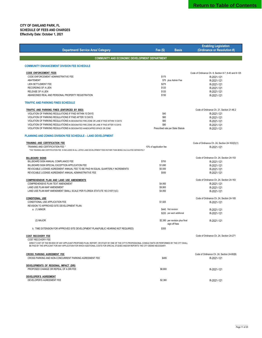| <b>Department/ Service Area/ Category</b>                                                                                                                                                                                                                                                       | Fee $(S)$<br><b>Basis</b>                        | <b>Enabling Legislation</b><br>(Ordinance or Resolution #) |
|-------------------------------------------------------------------------------------------------------------------------------------------------------------------------------------------------------------------------------------------------------------------------------------------------|--------------------------------------------------|------------------------------------------------------------|
| <b>COMMUNITY AND ECONOMIC DEVELOPMENT DEPARTMENT</b>                                                                                                                                                                                                                                            |                                                  |                                                            |
|                                                                                                                                                                                                                                                                                                 |                                                  |                                                            |
| <b>COMMUNITY ENHANCEMENT DIVISION FEE SCHEDULE</b>                                                                                                                                                                                                                                              |                                                  |                                                            |
| <b>CODE ENFORCEMENT FEES</b>                                                                                                                                                                                                                                                                    |                                                  | Code of Ordinance Ch. 8, Section 8-7, 8-40 and 8-125       |
| CODE ENFORCEMENT ADMINISTRATIVE FEE                                                                                                                                                                                                                                                             | \$175                                            | R-2021-121                                                 |
| ABATEMENT                                                                                                                                                                                                                                                                                       | \$75 plus Admin Fee                              | R-2021-121                                                 |
| <b>LIEN SETTLEMENT FEE</b>                                                                                                                                                                                                                                                                      | \$275                                            | R-2021-121                                                 |
| <b>RECORDING OF A LIEN</b>                                                                                                                                                                                                                                                                      | \$120                                            | R-2021-121                                                 |
| RELEASE OF A LIEN                                                                                                                                                                                                                                                                               | \$120                                            | R-2021-121                                                 |
| ABANDONED REAL AND PERSONAL PROPERTY REGISTRATION                                                                                                                                                                                                                                               | \$150                                            | R-2021-121                                                 |
| <b>TRAFFIC AND PARKING FINES SCHEDULE</b>                                                                                                                                                                                                                                                       |                                                  |                                                            |
| <b>TRAFFIC AND PARKING FINES (ENFORCED BY BSO)</b>                                                                                                                                                                                                                                              |                                                  | Code of Ordinance Ch. 21, Section 21-46.2                  |
| VIOLATION OF PARKING REGULATIONS IF PAID WITHIN 10 DAYS                                                                                                                                                                                                                                         | \$40                                             | R-2021-121                                                 |
| VIOLATION OF PARKING REGULATIONS IF PAID AFTER 10 DAYS                                                                                                                                                                                                                                          | \$60                                             | R-2021-121                                                 |
| VIOLATION OF PARKING REGULATIONS IN DESIGNATED FIRE ZONE OR LANE IF PAID WITHIN 10 DAYS                                                                                                                                                                                                         | \$60                                             | R-2021-121                                                 |
| VIOLATION OF PARKING REGULATIONS IN DESIGNATED FIRE ZONE OR LANE IF PAID AFTER 10 DAYS                                                                                                                                                                                                          | \$80                                             | R-2021-121                                                 |
| VIOLATION OF PARKING REGULATIONS IN DESIGNATED HANDICAPPED SPACE OR ZONE                                                                                                                                                                                                                        | Prescribed rate per State Statute                | R-2021-121                                                 |
| <b>PLANNING AND ZONING DIVISION FEE SCHEDULE - LAND DEVELOPMENT</b>                                                                                                                                                                                                                             |                                                  |                                                            |
| <b>TRAINING AND CERTIFICATION FEE</b>                                                                                                                                                                                                                                                           |                                                  | Code of Ordinance Ch. 24, Section 24-163(D)(1)             |
| TRAINING AND CERTIFICATION FEE *                                                                                                                                                                                                                                                                | 10% of application fee                           | R-2021-121                                                 |
| *THE TRAINING AND CERTIFICATION FEE IS INCLUDED IN ALL LISTED LAND DEVELOPMENT FEES RATHER THAN BEING CALCULATED SEPARATELY                                                                                                                                                                     |                                                  |                                                            |
| BILLBOARD SIGNS                                                                                                                                                                                                                                                                                 |                                                  | Code of Ordinance Ch. 24, Section 24-153                   |
| BILLBOARD SIGN ANNUAL COMPLIANCE FEE                                                                                                                                                                                                                                                            | \$700                                            | R-2021-121                                                 |
| BILLBOARD SIGN SPECIAL EXCEPTION APPLICATION FEE                                                                                                                                                                                                                                                | \$1,690                                          | R-2021-121                                                 |
| REVOCABLE LICENSE AGREEMENT ANNUAL FEE TO BE PAID IN EQUAL QUARTERLY INCREMENTS                                                                                                                                                                                                                 | \$5,500                                          | R-2021-121                                                 |
| REVOCABLE LICENSE AGREEMENT ANNUAL ADMINISTRATIVE FEE                                                                                                                                                                                                                                           | \$550                                            | R-2021-121                                                 |
| <b>COMPREHENSIVE PLAN AND LAND USE AMENDMENTS</b>                                                                                                                                                                                                                                               |                                                  | Code of Ordinance Ch. 24, Section 24-163                   |
| COMPREHENSIVE PLAN TEXT AMENDMENT                                                                                                                                                                                                                                                               | \$4,950                                          | R-2021-121                                                 |
| LAND USE PLAN MAP AMENDMENT                                                                                                                                                                                                                                                                     | \$9,900                                          | R-2021-121                                                 |
| LAND USE PLAN MAP AMENDMENT SMALL SCALE PER FLORIDA STATUTE 163.3187(1)(C)                                                                                                                                                                                                                      | \$4,950                                          | R-2021-121                                                 |
| <b>CONDITIONAL USE</b>                                                                                                                                                                                                                                                                          |                                                  | Code of Ordinance Ch. 24, Section 24-165                   |
| CONDITIONAL USE APPLICATION FEE                                                                                                                                                                                                                                                                 | \$1,925                                          | R-2021-121                                                 |
| REVISION TO APPROVED SITE DEVELOPMENT PLAN:                                                                                                                                                                                                                                                     |                                                  |                                                            |
| a. (1) MINOR                                                                                                                                                                                                                                                                                    | \$440 first revision                             | R-2021-121                                                 |
|                                                                                                                                                                                                                                                                                                 | \$220 per each additional                        | R-2021-121                                                 |
| (2) MAJOR                                                                                                                                                                                                                                                                                       | \$2,380 per revision plus final<br>sign-off fees | R-2021-121                                                 |
| b. TIME EXTENSION FOR APPROVED SITE DEVELOPMENT PLAN(PUBLIC HEARING NOT REQUIRED)                                                                                                                                                                                                               | \$355                                            |                                                            |
| <u>COST RECOVERY FEE</u><br><b>COST RECOVERY FEE</b>                                                                                                                                                                                                                                            |                                                  | Code of Ordinance Ch. 24, Section 24-271                   |
| DIRECT COST OF THE REVIEW OF ANY APPLICANT-PROPOSED PLAN, REPORT, OR STUDY BY ONE OF THE CITY'S PROFESSIONAL CONSULTANTS OR PERFORMED BY THE CITY SHALL<br>BE PAID BY THE APPLICANT FOR ANY APPLICATION FOR WHICH ADDITIONAL COSTS FOR SPECIAL STUDIES AND/OR REPORTS THE CITY DEEMS NECESSARY. |                                                  |                                                            |
| <b>CROSS PARKING AGREEMENT FEE</b>                                                                                                                                                                                                                                                              |                                                  | Code of Ordinance Ch. 24, Section 24-80(B)                 |
| CROSS PARKING AND NON-CONCURRENT PARKING AGREEMENT FEE                                                                                                                                                                                                                                          | \$495                                            | R-2021-121                                                 |
| DEVELOPMENTS OF REGIONAL IMPACT (DRI)                                                                                                                                                                                                                                                           |                                                  |                                                            |
| PROPOSED CHANGE OR REPEAL OF A DRI FEE                                                                                                                                                                                                                                                          | \$8,800                                          | R-2021-121                                                 |
|                                                                                                                                                                                                                                                                                                 |                                                  |                                                            |
| <b>DEVELOPER'S AGREEMENT</b>                                                                                                                                                                                                                                                                    |                                                  |                                                            |
| DEVELOPER'S AGREEMENT FEE                                                                                                                                                                                                                                                                       | \$2,380                                          | R-2021-121                                                 |
|                                                                                                                                                                                                                                                                                                 |                                                  |                                                            |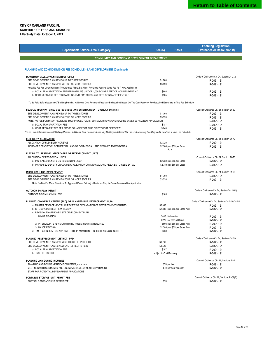| <b>Department/ Service Area/ Category</b>                                                                                                                                | Fee $(S)$                | <b>Basis</b>                     | <b>Enabling Legislation</b><br>(Ordinance or Resolution #)     |
|--------------------------------------------------------------------------------------------------------------------------------------------------------------------------|--------------------------|----------------------------------|----------------------------------------------------------------|
| <b>COMMUNITY AND ECONOMIC DEVELOPMENT DEPARTMENT</b>                                                                                                                     |                          |                                  |                                                                |
|                                                                                                                                                                          |                          |                                  |                                                                |
| <b>PLANNING AND ZONING DIVISION FEE SCHEDULE - LAND DEVELOPMENT (Continued)</b>                                                                                          |                          |                                  |                                                                |
| DOWNTOWN DEVELOPMENT DISTRICT (OP3D)                                                                                                                                     |                          |                                  | Code of Ordinance Ch. 24, Section 24-272                       |
| SITE DEVELOPMENT PLAN REVIEW UP TO THREE STORIES                                                                                                                         | \$1,760                  |                                  | R-2021-121                                                     |
| SITE DEVELOPMENT PLAN REVIEW FOUR OR MORE STORIES                                                                                                                        | \$3,520                  |                                  | R-2021-121                                                     |
| Note: No Fee For Minor Revisions To Approved Plans, But Major Revisions Require Same Fee As A New Application                                                            |                          |                                  |                                                                |
| a. LOCAL TRANSPORTATION FEE PER DWELLING UNIT OR 1,000 SQUARE FEET OF NON-RESIDENTIAL*<br>b. COST RECOVERY FEE PER DWELLING UNIT OR 1,000SQUARE FEET OF NON-RESIDENTIAL* | \$605<br>\$385           |                                  | R-2021-121                                                     |
|                                                                                                                                                                          |                          |                                  | R-2021-121                                                     |
| *To Be Paid Before Issuance Of Building Permits. Additional Cost Recovery Fees May Be Required Based On The Cost Recovery Fee Required Elsewhere In This Fee Schedule.   |                          |                                  |                                                                |
| FEDERAL HIGHWAY MIXED-USE BUSINESS AND ENTERTAINMENT OVERLAY DISTRICT                                                                                                    |                          |                                  | Code of Ordinance Ch. 24, Section 24-50                        |
| SITE DEVELOPMENT PLAN REVIEW UP TO THREE STORIES                                                                                                                         | \$1,760                  |                                  | R-2021-121                                                     |
| SITE DEVELOPMENT PLAN REVIEW FOUR OR MORE STORIES                                                                                                                        | \$3,520                  |                                  | R-2021-121                                                     |
| NOTE: NO FEE FOR MINOR REVISIONS TO APPROVED PLANS, BUT MAJOR REVISIONS REQUIRE SAME FEE AS A NEW APPLICATION                                                            |                          |                                  | R-2021-121                                                     |
| a. LOCAL TRANSPORTATION FEE                                                                                                                                              | \$187                    |                                  | R-2021-121                                                     |
| b. COST RECOVERY FEE PER GROSS SQUARE FOOT PLUS DIRECT COST OF REVIEW                                                                                                    | \$0.49                   |                                  | R-2021-121                                                     |
| *To Be Paid Before Issuance Of Building Permits. Additional Cost Recovery Fees May Be Required Based On The Cost Recovery Fee Required Elsewhere In This Fee Schedule.   |                          |                                  |                                                                |
| <b>FLEXIBILITY ALLOCATIONS</b>                                                                                                                                           |                          |                                  | Code of Ordinance Ch. 24, Section 24-72                        |
| ALLOCATION OF FLEXIBILITY ACREAGE                                                                                                                                        | \$2,720                  |                                  | R-2021-121                                                     |
| INCREASED DENSITY ON COMMERCIAL LAND OR COMMERCIAL LAND REZONED TO RESIDENTIAL                                                                                           |                          | \$2,380 plus \$55 per Gross      | R-2021-121                                                     |
|                                                                                                                                                                          | Acre                     |                                  |                                                                |
| <b>FLEXIBILITY, RESERVE, AFFORDABLE OR REDEVELOPMENT UNITS</b>                                                                                                           |                          |                                  |                                                                |
| ALLOCATION OF RESIDENTIAL UNITS<br>a. INCREASED DENSITY ON RESIDENTIAL LAND                                                                                              |                          | \$2,380 plus \$55 per Gross      | Code of Ordinance Ch. 24, Section 24-76                        |
| b. INCREASED DENSITY ON COMMERCIAL LANDOR COMMERCIAL LAND REZONED TO RESIDENTIAL                                                                                         |                          | \$2,380 plus \$55 per Gross      | R-2021-121<br>R-2021-121                                       |
|                                                                                                                                                                          |                          |                                  |                                                                |
| <b>MIXED USE LAND DEVELOPMENT</b>                                                                                                                                        |                          |                                  | Code of Ordinance Ch. 24, Section 24-56                        |
| SITE DEVELOPMENT PLAN REVIEW UP TO THREE STORIES                                                                                                                         | \$1,760                  |                                  | R-2021-121                                                     |
| SITE DEVELOPMENT PLAN REVIEW FOUR OR MORE STORIES                                                                                                                        | \$3,520                  |                                  | R-2021-121                                                     |
| Note: No Fee For Minor Revisions To Approved Plans, But Major Revisions Require Same Fee As A New Application.                                                           |                          |                                  |                                                                |
| <b>OUTDOOR DISPLAY PERMIT</b>                                                                                                                                            |                          |                                  | Code of Ordinance Ch. 24, Section 24-150(I)                    |
| OUTDOOR DISPLAY ANNUAL FEE                                                                                                                                               | \$165                    |                                  | R-2021-121                                                     |
|                                                                                                                                                                          |                          |                                  |                                                                |
| PLANNED COMMERCE CENTER (PCC) OR PLANNED UNIT DEVELOPMENT (PUD)<br>a. MASTER DEVELOPMENT PLAN REVIEW OR DECLARATION OF RESTRICTIVE COVENANTS                             | \$2,380                  |                                  | Code of Ordinance Ch. 24, Sections 24-54 & 24-55<br>R-2021-121 |
| b. SITE DEVELOPMENT PLAN REVIEW                                                                                                                                          |                          | \$2,380 plus \$55 per Gross Acre | R-2021-121                                                     |
| c. REVISION TO APPROVED SITE DEVELOPMENT PLAN:                                                                                                                           |                          |                                  |                                                                |
| 1. MINOR REVISION                                                                                                                                                        | \$440 first revision     |                                  | R-2021-121                                                     |
|                                                                                                                                                                          |                          | \$220 per each additional        | R-2021-121                                                     |
| 2. INTERMEDIATE REVISION WITH NO PUBLIC HEARING REQUIRED                                                                                                                 |                          | \$693 plus \$55 per Gross Acre   | R-2021-121                                                     |
| 3. MAJOR REVISION                                                                                                                                                        |                          | \$2,380 plus \$55 per Gross Acre | R-2021-121                                                     |
| d. TIME EXTENSION FOR APPROVED SITE PLAN WITH NO PUBLIC HEARING REQUIRED                                                                                                 | \$360                    |                                  | R-2021-121                                                     |
| PLANNED REDEVELOPMENT DISTRICT (PRD)                                                                                                                                     |                          |                                  | Code of Ordinance Ch. 24, Sections 24-59                       |
| SITE DEVELOPMENT PLAN REVIEW UP TO 36 FEET IN HEIGHT                                                                                                                     | \$1,760                  |                                  | R-2021-121                                                     |
| SITE DEVELOPMENT PLAN REVIEW OVER 36 FEET IN HEIGHT                                                                                                                      | \$3,520                  |                                  | R-2021-121                                                     |
| a. LOCAL TRANSPORTATION FEE                                                                                                                                              | \$187                    |                                  | R-2021-121                                                     |
| b. TRAFFIC STUDIES                                                                                                                                                       | subject to Cost Recovery |                                  | R-2021-121                                                     |
| PLANNING AND ZONING INQUIRIES                                                                                                                                            |                          |                                  | Code of Ordinance Ch. 24, Sections 24-4                        |
| PLANNING AND ZONING VERIFICATION LETTER, EACH ITEM                                                                                                                       | \$70 per item            |                                  | R-2021-121                                                     |
| MEETINGS WITH COMMUNITY AND ECONOMIC DEVELOPMENT DEPARTMENT                                                                                                              |                          | \$70 per hour per staff          | R-2021-121                                                     |
| STAFF FOR POTENTIAL DEVELOPMENT APPLICATIONS                                                                                                                             |                          |                                  |                                                                |
| PORTABLE STORAGE UNIT PERMIT FEE                                                                                                                                         |                          |                                  | Code of Ordinance Ch. 24, Sections 24-68(E)                    |
| PORTABLE STORAGE UNIT PERMIT FEE                                                                                                                                         | \$70                     |                                  | R-2021-121                                                     |
|                                                                                                                                                                          |                          |                                  |                                                                |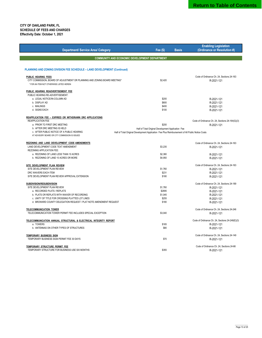|                                                                                          |                                                                                                  |              | <b>Enabling Legislation</b>                     |
|------------------------------------------------------------------------------------------|--------------------------------------------------------------------------------------------------|--------------|-------------------------------------------------|
| <b>Department/ Service Area/ Category</b>                                                | Fee $(S)$                                                                                        | <b>Basis</b> | (Ordinance or Resolution #)                     |
|                                                                                          |                                                                                                  |              |                                                 |
| <b>COMMUNITY AND ECONOMIC DEVELOPMENT DEPARTMENT</b>                                     |                                                                                                  |              |                                                 |
|                                                                                          |                                                                                                  |              |                                                 |
| PLANNING AND ZONING DIVISION FEE SCHEDULE - LAND DEVELOPMENT (Continued)                 |                                                                                                  |              |                                                 |
| PUBLIC HEARING FEES                                                                      |                                                                                                  |              | Code of Ordinance Ch. 24, Sections 24-163       |
| CITY COMMISSION, BOARD OF ADJUSTMENT OR PLANNING AND ZONING BOARD MEETING*               | \$2,420                                                                                          |              | R-2021-121                                      |
| * FOR AN ITEM NOT OTHERWISE LISTED HEREIN                                                |                                                                                                  |              |                                                 |
| PUBLIC HEARING READVERTISEMENT FEE                                                       |                                                                                                  |              |                                                 |
| PUBLIC HEARING RE-ADVERTISEMENT:                                                         |                                                                                                  |              |                                                 |
| a. LEGAL NOTICE/IN-COLUMN AD                                                             | \$200                                                                                            |              | R-2021-121                                      |
| b. DISPLAY AD                                                                            | \$800                                                                                            |              | R-2021-121                                      |
| c. MAILINGS                                                                              | \$400                                                                                            |              | R-2021-121                                      |
| d. SIGNS EACH                                                                            | \$100                                                                                            |              | R-2021-121                                      |
| REAPPLICATION FEE - EXPIRED OR WITHDRAWN DRC APPLICATIONS                                |                                                                                                  |              |                                                 |
| <b>REAPPLICATION FEE</b>                                                                 |                                                                                                  |              | Code of Ordinance Ch. 24, Sections 24-164(G)(3) |
| a. PRIOR TO FIRST DRC MEETING                                                            | \$200                                                                                            |              | R-2021-121                                      |
| b. AFTER DRC MEETING IS HELD                                                             | Half of Total Original Development Application Fee                                               |              |                                                 |
| c. AFTER PUBLIC NOTICE OF A PUBLIC HEARING                                               | Half of Total Original Development Application Fee Plus Reimbursement of All Public Notice Costs |              |                                                 |
| AT ADVISORY BOARD OR CITY COMMISSION IS ISSUED                                           |                                                                                                  |              |                                                 |
| REZONING AND LAND DEVELOPMENT CODE AMENDMENTS                                            |                                                                                                  |              | Code of Ordinance Ch. 24, Sections 24-163       |
| LAND DEVELOPMENT CODE TEXT AMENDMENT                                                     | \$3,235                                                                                          |              | R-2021-121                                      |
| REZONING APPLICATION FEE:                                                                |                                                                                                  |              |                                                 |
| a. REZONING OF LAND LESS THAN 10 ACRES                                                   | \$2,380                                                                                          |              | R-2021-121                                      |
| b. REZONING OF LAND 10 ACRES OR MORE                                                     | \$4,950                                                                                          |              | R-2021-121                                      |
| SITE DEVELOPMENT PLAN REVIEW                                                             |                                                                                                  |              | Code of Ordinance Ch. 24, Sections 24-163       |
| SITE DEVELOPMENT PLAN REVIEW                                                             | \$1,760                                                                                          |              | R-2021-121                                      |
| DRC WAIVERS EACH ITEM                                                                    | \$231                                                                                            |              | R-2021-121                                      |
| SITE DEVELOPMENT PLAN REVIEW APPROVAL EXTENSION                                          | \$180                                                                                            |              | R-2021-121                                      |
|                                                                                          |                                                                                                  |              |                                                 |
| SUBDIVISION/RESUBDIVISION                                                                |                                                                                                  |              | Code of Ordinance Ch. 24, Sections 24-189       |
| SITE DEVELOPMENT PLAN REVIEW<br>a. RECORDED PLATS / REPLATS                              | \$1,760<br>\$2895                                                                                |              | R-2021-121                                      |
| b. PLATS OR REPLATS WITH WAIVER OF RECORDING                                             | \$1,045                                                                                          |              | R-2021-121<br>R-2021-121                        |
| c. UNITY OF TITLE FOR CROSSING PLATTED LOT LINES                                         | \$255                                                                                            |              | R-2021-121                                      |
| d. BROWARD COUNTY DELEGATION REQUEST / PLAT NOTE AMENDMENT REQUEST                       | \$180                                                                                            |              | R-2021-121                                      |
|                                                                                          |                                                                                                  |              |                                                 |
| <b>TELECOMMUNICATION TOWER</b>                                                           |                                                                                                  |              | Code of Ordinance Ch. 24, Sections 24-246       |
| TELECOMMUNICATION TOWER PERMIT FEE INCLUDES SPECIAL EXCEPTION                            | \$3,040                                                                                          |              | R-2021-121                                      |
| TELECOMMUNICATION ANNUAL STRUCTURAL & ELECTRICAL INTEGRITY REPORT                        |                                                                                                  |              | Code of Ordinance Ch. 24, Sections 24-248(E)(3) |
| a. TOWERS                                                                                | \$165                                                                                            |              | R-2021-121                                      |
| b. ANTENNAS ON OTHER TYPES OF STRUCTURES                                                 | \$80                                                                                             |              | R-2021-121                                      |
| <b>TEMPORARY BUSINESS SIGN</b>                                                           |                                                                                                  |              | Code of Ordinance Ch. 24, Sections 24-149       |
| TEMPORARY BUSINESS SIGN PERMIT FEE 30 DAYS                                               | \$70                                                                                             |              | R-2021-121                                      |
|                                                                                          |                                                                                                  |              |                                                 |
| <b>TEMPORARY STRUCTURE PERMIT FEE</b><br>TEMPORARY STRUCTURE FOR BUSINESS USE SIX MONTHS | \$355                                                                                            |              | Code of Ordinance Ch. 24. Sections 24-66        |
|                                                                                          |                                                                                                  |              | R-2021-121                                      |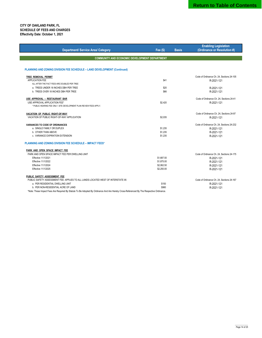| <b>Department/ Service Area/ Category</b>                                        | Fee $(S)$  | <b>Basis</b> | <b>Enabling Legislation</b><br>(Ordinance or Resolution #) |
|----------------------------------------------------------------------------------|------------|--------------|------------------------------------------------------------|
|                                                                                  |            |              |                                                            |
| <b>COMMUNITY AND ECONOMIC DEVELOPMENT DEPARTMENT</b>                             |            |              |                                                            |
|                                                                                  |            |              |                                                            |
| PLANNING AND ZONING DIVISION FEE SCHEDULE - LAND DEVELOPMENT (Continued)         |            |              |                                                            |
| TREE REMOVAL PERMIT                                                              |            |              | Code of Ordinance Ch. 24, Sections 24-105                  |
| APPLICATION FEE                                                                  | \$41       |              | R-2021-121                                                 |
| ALL AFTER THE FACT FEES ARE DOUBLED PER TREE                                     |            |              |                                                            |
| a. TREES UNDER 18 INCHES DBH PER TREE                                            | \$20       |              | R-2021-121                                                 |
| b. TREES OVER 18 INCHES DBH PER TREE                                             | \$66       |              | R-2021-121                                                 |
| USE APPROVAL - RESTAURANT BAR                                                    |            |              | Code of Ordinance Ch. 24, Sections 24-41                   |
| USE APPROVAL APPLICATION FEE*                                                    | \$2,420    |              | R-2021-121                                                 |
| * PUBLIC HEARING FEE ONLY. SITE DEVELOPMENT PLAN REVIEW FEES APPLY.              |            |              |                                                            |
| VACATION OF PUBLIC RIGHT-OF-WAY                                                  |            |              | Code of Ordinance Ch. 24, Sections 24-97                   |
| VACATION OF PUBLIC RIGHT-OF-WAY APPLICATION                                      | \$2,035    |              | R-2021-121                                                 |
| <b>VARIANCES TO CODE OF ORDINANCES</b>                                           |            |              | Code of Ordinance Ch. 24, Sections 24-232                  |
| a. SINGLE FAMILY OR DUPLEX                                                       | \$1,235    |              | R-2021-121                                                 |
| b. OTHER THAN ABOVE                                                              | \$1,235    |              | R-2021-121                                                 |
| c. VARIANCE EXPIRATION EXTENSION                                                 | \$1,235    |              | R-2021-121                                                 |
| <b>PLANNING AND ZONING DIVISION FEE SCHEDULE - IMPACT FEES*</b>                  |            |              |                                                            |
| PARK AND OPEN SPACE IMPACT FEE                                                   |            |              |                                                            |
| PARK AND OPEN SPACE IMPACT FEE PER DWELLING UNIT                                 |            |              | Code of Ordinance Ch. 24, Sections 24-175                  |
| Effective 11/1/2021                                                              | \$1,687.50 |              | R-2021-121                                                 |
| Effective 11/1/2022                                                              | \$1,875.00 |              | R-2021-121                                                 |
| Effective 11/1/2024                                                              | \$2,062.50 |              | R-2021-121                                                 |
| Effective 11/1/2025                                                              | \$2,250.00 |              | R-2021-121                                                 |
| PUBLIC SAFETY ASSESSMENT FEE                                                     |            |              |                                                            |
| PUBLIC SAFETY ASSESSMENT FEE: APPLIES TO ALL LANDS LOCATED WEST OF INTERSTATE 95 |            |              | Code of Ordinance Ch. 24, Sections 24-167                  |
| a. PER RESIDENTIAL DWELLING UNIT                                                 | \$150      |              | R-2021-121                                                 |
| b. PER NON-RESIDENTIAL ACRE OF LAND                                              | \$980      |              | R-2021-121                                                 |

\*Note: These Impact Fees Are Required By Statute To Be Adopted By Ordinance And Are Hereby Cross-Referenced By The Respective Ordinance.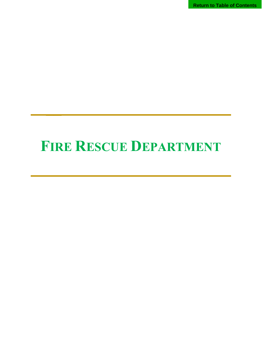**Return to Table of Contents**

## **FIRE RESCUE DEPARTMENT**

 **\_\_**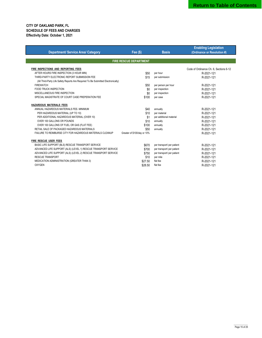|                                                                                   |                               |                            | <b>Enabling Legislation</b>            |
|-----------------------------------------------------------------------------------|-------------------------------|----------------------------|----------------------------------------|
| <b>Department/ Service Area/ Category</b>                                         | Fee $(\$)$                    | <b>Basis</b>               | (Ordinance or Resolution #)            |
|                                                                                   |                               |                            |                                        |
|                                                                                   | <b>FIRE RESCUE DEPARTMENT</b> |                            |                                        |
| FIRE INSPECTIONS AND REPORTING FEES                                               |                               |                            | Code of Ordinance Ch. 6. Sections 6-12 |
| AFTER HOURS FIRE INSPECTION (3 HOUR MIN)                                          | \$50                          | per hour                   | R-2021-121                             |
| THIRD-PARTY ELECTRONIC REPORT SUBMISSION FEE                                      | \$15                          | per submission             | R-2021-121                             |
| (All Third-Party Life Safety Reports Are Required To Be Submitted Electronically) |                               |                            |                                        |
| <b>FIREWATCH</b>                                                                  | \$50                          | per person per hour        | R-2021-121                             |
| FOOD TRUCK INSPECTION                                                             | \$0                           | per inspection             | R-2021-121                             |
| MISCELLANEOUS FIRE INSPECTION                                                     | \$0                           | per inspection             | R-2021-121                             |
| SPECIAL MAGISTRATE OF COURT CASE PREPERATION FEE                                  | \$100                         | per case                   | R-2021-121                             |
|                                                                                   |                               |                            |                                        |
| HAZARDOUS MATERIALS FEES                                                          |                               |                            |                                        |
| ANNUAL HAZARDOUS MATERIALS FEE- MINIMUM                                           | \$40                          | annually                   | R-2021-121                             |
| PER HAZARDOUS MATERIAL (UP TO 10)                                                 | \$10                          | per material               | R-2021-121                             |
| PER ADDITIONAL HAZARDOUS MATERIAL (OVER 10)                                       | \$1                           | per additional material    | R-2021-121                             |
| OVER 100 GALLONS OR POUNDS                                                        | \$10                          | annually                   | R-2021-121                             |
| OVER 100 GALLONS OF FUEL OR GAS (FLAT FEE)                                        | \$100                         | annually                   | R-2021-121                             |
| RETAIL SALE OF PACKAGED HAZARDOUS MATERIALS                                       | \$50                          | annually                   | R-2021-121                             |
| FAILURE TO REIMBURSE CITY FOR HAZARDOUS MATERIALS CLEANUP                         | Greater of \$100/day or 10%   |                            | R-2021-121                             |
|                                                                                   |                               |                            |                                        |
| FIRE RESCUE USER FEES                                                             |                               |                            |                                        |
| BASIC LIFE SUPPORT (BLS) RESCUE TRANSPORT SERVICE                                 | \$670                         | per transport/ per patient | R-2021-121                             |
| ADVANCED LIFE SUPPORT (ALS) (LEVEL 1) RESCUE TRANSPORT SERVICE                    | \$700                         | per transport/ per patient | R-2021-121                             |
| ADVANCED LIFE SUPPORT (ALS) (LEVEL 2) RESCUE TRANSPORT SERVICE                    | \$750                         | per transport/ per patient | R-2021-121                             |
| <b>RESCUE TRANSPORT</b>                                                           | \$10                          | per mile                   | R-2021-121                             |
| MEDICATION ADMINISTRATION (GREATER THAN 3)                                        | \$27.50                       | flat fee                   | R-2021-121                             |
| <b>OXYGEN</b>                                                                     | \$28.50                       | flat fee                   | R-2021-121                             |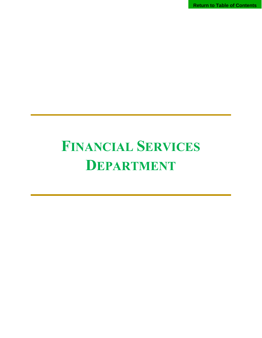**Return to Table of Contents**

# **FINANCIAL SERVICES DEPARTMENT**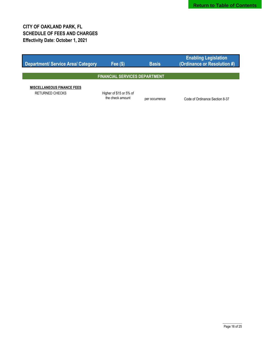| Department/ Service Area/ Category                   | Fee $(S)$                                   | <b>Basis</b>   | <b>Enabling Legislation</b><br>(Ordinance or Resolution #) |  |
|------------------------------------------------------|---------------------------------------------|----------------|------------------------------------------------------------|--|
|                                                      |                                             |                |                                                            |  |
| <b>FINANCIAL SERVICES DEPARTMENT</b>                 |                                             |                |                                                            |  |
| <b>MISCELLANEOUS FINANCE FEES</b><br>RETURNED CHECKS | Higher of \$15 or 5% of<br>the check amount | per occurrence | Code of Ordinance Section 8-37                             |  |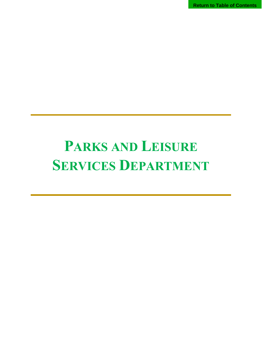**Return to Table of Contents**

# **PARKS AND LEISURE SERVICES DEPARTMENT**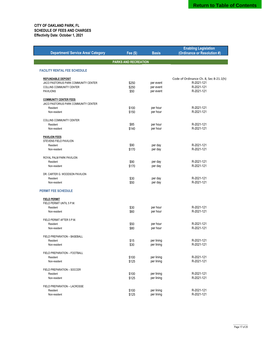|                                           |                             |              | <b>Enabling Legislation</b>                          |
|-------------------------------------------|-----------------------------|--------------|------------------------------------------------------|
| <b>Department/ Service Area/ Category</b> | Fee (\$)                    | <b>Basis</b> | (Ordinance or Resolution #)                          |
|                                           |                             |              |                                                      |
|                                           | <b>PARKS AND RECREATION</b> |              |                                                      |
|                                           |                             |              |                                                      |
| <b>FACILITY RENTAL FEE SCHEDULE</b>       |                             |              |                                                      |
|                                           |                             |              |                                                      |
| <b>REFUNDABLE DEPOSIT</b>                 | \$250                       |              | Code of Ordinance Ch. 8, Sec 8-21.1(h)<br>R-2021-121 |
| JACO PASTORIUS PARK COMMUNITY CENTER      |                             | per event    | R-2021-121                                           |
| COLLINS COMMUNITY CENTER                  | \$250                       | per event    |                                                      |
| <b>PAVILIONS</b>                          | \$50                        | per event    | R-2021-121                                           |
| <b>COMMUNITY CENTER FEES</b>              |                             |              |                                                      |
| JACO PASTORIUS PARK COMMUNITY CENTER      |                             |              |                                                      |
| Resident                                  | \$100                       | per hour     | R-2021-121                                           |
| Non-resident                              | \$150                       | per hour     | R-2021-121                                           |
|                                           |                             |              |                                                      |
| COLLINS COMMUNITY CENTER                  |                             |              |                                                      |
| Resident                                  | \$85                        | per hour     | R-2021-121                                           |
| Non-resident                              | \$140                       | per hour     | R-2021-121                                           |
|                                           |                             |              |                                                      |
| <b>PAVILION FEES</b>                      |                             |              |                                                      |
| STEVENS FIELD PAVILION                    |                             |              |                                                      |
| Resident                                  | \$90                        | per day      | R-2021-121                                           |
| Non-resident                              | \$170                       | per day      | R-2021-121                                           |
|                                           |                             |              |                                                      |
| ROYAL PALM PARK PAVILION                  |                             |              |                                                      |
| Resident                                  | \$90                        | per day      | R-2021-121                                           |
| Non-resident                              | \$170                       | per day      | R-2021-121                                           |
| DR. CARTER G. WOODSON PAVILION            |                             |              |                                                      |
| Resident                                  | \$30                        | per day      | R-2021-121                                           |
| Non-resident                              | \$50                        | per day      | R-2021-121                                           |
|                                           |                             |              |                                                      |
| <b>PERMIT FEE SCHEDULE</b>                |                             |              |                                                      |
|                                           |                             |              |                                                      |
| <b>FIELD PERMIT</b>                       |                             |              |                                                      |
| FIELD PERMIT UNTIL 5 P.M.                 |                             |              |                                                      |
| Resident                                  | \$30                        | per hour     | R-2021-121                                           |
| Non-resident                              | \$60                        | per hour     | R-2021-121                                           |
| FIELD PERMIT AFTER 5 P.M.                 |                             |              |                                                      |
| Resident                                  | \$50                        | per hour     | R-2021-121                                           |
| Non-resident                              | \$80                        | per hour     | R-2021-121                                           |
|                                           |                             |              |                                                      |
| FIELD PREPARATION - BASEBALL              |                             |              |                                                      |
| Resident                                  | \$15                        | per lining   | R-2021-121                                           |
| Non-resident                              | \$30                        | per lining   | R-2021-121                                           |
|                                           |                             |              |                                                      |
| FIELD PREPARATION - FOOTBALL              |                             |              |                                                      |
| Resident                                  | \$100                       | per lining   | R-2021-121                                           |
| Non-resident                              | \$125                       | per lining   | R-2021-121                                           |
| FIELD PREPARATION - SOCCER                |                             |              |                                                      |
| Resident                                  | \$100                       | per lining   | R-2021-121                                           |
| Non-resident                              | \$125                       | per lining   | R-2021-121                                           |
|                                           |                             |              |                                                      |
| FIELD PREPARATION - LACROSSE              |                             |              |                                                      |
| Resident                                  | \$100                       | per lining   | R-2021-121                                           |
| Non-resident                              | \$125                       | per lining   | R-2021-121                                           |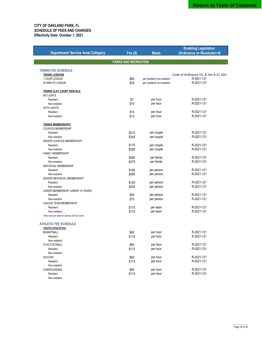|                                              |                      |                            | <b>Enabling Legislation</b>            |
|----------------------------------------------|----------------------|----------------------------|----------------------------------------|
| <b>Department/ Service Area/ Category</b>    | <b>Fee (\$)</b>      | <b>Basis</b>               | (Ordinance or Resolution #)            |
|                                              |                      |                            |                                        |
|                                              | PARKS AND RECREATION |                            |                                        |
|                                              |                      |                            |                                        |
| <b>TENNIS FEE SCHEDULE</b>                   |                      |                            |                                        |
| <b>TENNIS LESSONS</b>                        |                      |                            | Code of Ordinance Ch. 8, Sec 8-21.1(h) |
| 1 HOUR LESSON                                | \$60                 | per resident/ non-resident | R-2021-121                             |
| 30 MINUTE LESSON                             | \$35                 | per resident/ non-resident | R-2021-121                             |
|                                              |                      |                            |                                        |
| <b>TENNIS CLAY COURT RENTALS</b>             |                      |                            |                                        |
| <b>NO LIGHTS</b>                             |                      |                            |                                        |
| Resident                                     | \$7                  | per hour                   | R-2021-121                             |
| Non-resident                                 | \$10                 | per hour                   | R-2021-121                             |
| <b>WITH LIGHTS</b>                           |                      |                            |                                        |
| Resident                                     | \$10                 | per hour                   | R-2021-121                             |
| Non-resident                                 | \$13                 | per hour                   | R-2021-121                             |
|                                              |                      |                            |                                        |
| <b>TENNIS MEMBERSHIPS</b>                    |                      |                            |                                        |
| <b>COUPLES MEMBERSHIP</b>                    |                      |                            |                                        |
| Resident                                     | \$210                | per couple                 | R-2021-121                             |
| Non-resident                                 | \$345                | per couple                 | R-2021-121                             |
| SENIOR COUPLES MEMBERSHIP*                   |                      |                            |                                        |
| Resident                                     | \$170                | per couple                 | R-2021-121                             |
| Non-resident                                 | \$285                | per couple                 | R-2021-121                             |
| <b>FAMILY MEMBERSHIP</b>                     |                      |                            |                                        |
| Resident                                     | \$290                | per family                 | R-2021-121                             |
| Non-resident                                 | \$475                | per family                 | R-2021-121                             |
| INDIVIDUAL MEMBERSHIP                        |                      |                            |                                        |
| Resident                                     | \$160                | per person                 | R-2021-121                             |
| Non-resident                                 | \$295                | per person                 | R-2021-121                             |
| SENIOR INDIVIDUAL MEMBERSHIP*                |                      |                            |                                        |
| Resident                                     | \$120                | per person                 | R-2021-121                             |
| Non-resident                                 | \$255                | per person                 | R-2021-121                             |
| JUNIOR MEMBERSHIP (UNDER 18 YEARS)           |                      |                            |                                        |
| Resident                                     | \$55                 | per person                 | R-2021-121                             |
| Non-resident                                 | \$75                 | per person                 | R-2021-121                             |
| LEAGUE TEAM MEMBERSHIP                       |                      |                            |                                        |
| Resident                                     | \$175                | per team                   | R-2021-121                             |
| Non-resident                                 | \$175                | per team                   | R-2021-121                             |
| *New reduced rates for Seniors (55 and over) |                      |                            |                                        |
|                                              |                      |                            |                                        |
| <b>ATHLETIC FEE SCHEDULE</b>                 |                      |                            |                                        |
| <b>YOUTH ATHLETICS</b>                       |                      |                            |                                        |
| <b>BASKETBALL</b>                            | \$60                 | per hour                   | R-2021-121                             |
| Resident                                     | \$115                | per hour                   | R-2021-121                             |
| Non-resident                                 |                      |                            |                                        |
| <b>FLAG FOOTBALL</b>                         | \$60                 | per hour                   | R-2021-121                             |
| Resident                                     | \$115                | per hour                   | R-2021-121                             |
| Non-resident                                 |                      |                            |                                        |
| SOCCER                                       | \$60                 | per hour                   | R-2021-121                             |
| Resident                                     | \$115                | per hour                   | R-2021-121                             |
| Non-resident                                 |                      |                            |                                        |
| CHEERLEADING                                 | \$60                 | per hour                   | R-2021-121                             |
| Resident                                     | \$115                | per hour                   | R-2021-121                             |
| Non-resident                                 |                      |                            |                                        |
|                                              |                      |                            |                                        |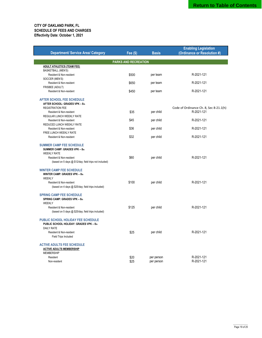|                                                        |                             |              | <b>Enabling Legislation</b>            |
|--------------------------------------------------------|-----------------------------|--------------|----------------------------------------|
| <b>Department/ Service Area/ Category</b>              | <b>Fee (\$)</b>             | <b>Basis</b> | (Ordinance or Resolution #)            |
|                                                        |                             |              |                                        |
|                                                        | <b>PARKS AND RECREATION</b> |              |                                        |
| <b>ADULT ATHLETICS (TEAM FEE)</b>                      |                             |              |                                        |
| <b>BASKETBALL (MEN'S)</b>                              |                             |              |                                        |
| Resident & Non-resident                                | \$500                       | per team     | R-2021-121                             |
| SOCCER (MEN'S)                                         |                             |              | R-2021-121                             |
| Resident & Non-resident                                | \$650                       | per team     |                                        |
| FRISBEE (ADULT)<br>Resident & Non-resident             | \$450                       | per team     | R-2021-121                             |
|                                                        |                             |              |                                        |
| <b>AFTER SCHOOL FEE SCHEDULE</b>                       |                             |              |                                        |
| AFTER SCHOOL: GRADES VPK - 8th                         |                             |              |                                        |
| <b>REGISTRATION FEE</b>                                |                             |              | Code of Ordinance Ch. 8, Sec 8-21.1(h) |
| Resident & Non-resident                                | \$35                        | per child    | R-2021-121                             |
| REGULAR LUNCH WEEKLY RATE                              |                             |              |                                        |
| Resident & Non-resident                                | \$45                        | per child    | R-2021-121                             |
| REDUCED LUNCH WEEKLY RATE                              |                             |              |                                        |
| Resident & Non-resident                                | \$36                        | per child    | R-2021-121                             |
| FREE LUNCH WEEKLY RATE                                 |                             |              |                                        |
| Resident & Non-resident                                | \$32                        | per child    | R-2021-121                             |
| <b>SUMMER CAMP FEE SCHEDULE</b>                        |                             |              |                                        |
| SUMMER CAMP: GRADES VPK - 8th                          |                             |              |                                        |
| <b>WEEKLY RATE</b>                                     |                             |              |                                        |
| Resident & Non-resident                                | \$60                        | per child    | R-2021-121                             |
| (based on 5 days @ \$12/day; field trips not included) |                             |              |                                        |
|                                                        |                             |              |                                        |
| <b>WINTER CAMP FEE SCHEDULE</b>                        |                             |              |                                        |
| WINTER CAMP: GRADES VPK - 8th                          |                             |              |                                        |
| <b>WEEKLY</b>                                          |                             |              |                                        |
| Resident & Non-resident                                | \$100                       | per child    | R-2021-121                             |
| (based on 4 days @ \$25/day; field trips included)     |                             |              |                                        |
| <b>SPRING CAMP FEE SCHEDULE</b>                        |                             |              |                                        |
| <b>SPRING CAMP: GRADES VPK - 8th</b>                   |                             |              |                                        |
| WEEKLY                                                 |                             |              |                                        |
| Resident & Non-resident                                | \$125                       | per child    | R-2021-121                             |
| (based on 5 days @ \$25/day; field trips included)     |                             |              |                                        |
|                                                        |                             |              |                                        |
| PUBLIC SCHOOL HOLIDAY FEE SCHEDULE                     |                             |              |                                        |
| PUBLIC SCHOOL HOLIDAY: GRADES VPK - 8th                |                             |              |                                        |
| <b>DAILY RATE</b><br>Resident & Non-resident           | \$25                        | per child    | R-2021-121                             |
| Field Trips Included                                   |                             |              |                                        |
|                                                        |                             |              |                                        |
| <b>ACTIVE ADULTS FEE SCHEDULE</b>                      |                             |              |                                        |
| <b>ACTIVE ADULTS MEMBERSHIP</b>                        |                             |              |                                        |
| <b>MEMBERSHIP</b>                                      |                             |              |                                        |
| Resident                                               | \$20                        | per person   | R-2021-121                             |
| Non-resident                                           | \$25                        | per person   | R-2021-121                             |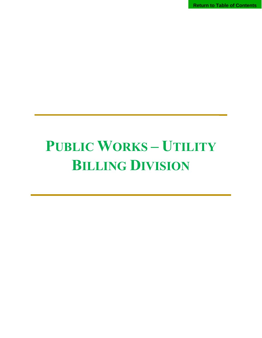**Return to Table of Contents**

# **PUBLIC WORKS – UTILITY BILLING DIVISION**

 **\_**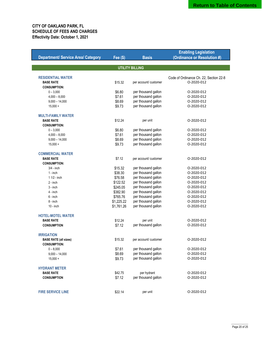|                                           |                 |                        | <b>Enabling Legislation</b>            |
|-------------------------------------------|-----------------|------------------------|----------------------------------------|
| <b>Department/ Service Area/ Category</b> | <b>Fee (\$)</b> | <b>Basis</b>           | (Ordinance or Resolution #)            |
|                                           |                 |                        |                                        |
|                                           |                 | <b>UTILITY BILLING</b> |                                        |
|                                           |                 |                        |                                        |
| <b>RESIDENTIAL WATER</b>                  |                 |                        | Code of Ordinance Ch. 22, Section 22-8 |
| <b>BASE RATE</b>                          | \$15.32         | per account/ customer  | O-2020-012                             |
| <b>CONSUMPTION:</b>                       |                 |                        |                                        |
| $0 - 3,000$                               | \$6.80          | per thousand gallon    | 0-2020-012                             |
| $4,000 - 8,000$                           | \$7.61          | per thousand gallon    | 0-2020-012                             |
| $9,000 - 14,000$                          | \$8.69          | per thousand gallon    | O-2020-012                             |
| $15,000 +$                                | \$9.73          | per thousand gallon    | O-2020-012                             |
|                                           |                 |                        |                                        |
| <b>MULTI-FAMILY WATER</b>                 |                 |                        |                                        |
| <b>BASE RATE</b>                          | \$12.24         | per unit               | 0-2020-012                             |
| <b>CONSUMPTION:</b>                       |                 |                        |                                        |
| $0 - 3,000$                               | \$6.80          | per thousand gallon    | 0-2020-012                             |
| $4,000 - 8,000$                           | \$7.61          | per thousand gallon    | O-2020-012                             |
| $9,000 - 14,000$                          | \$8.69          | per thousand gallon    | O-2020-012                             |
| $15,000 +$                                | \$9.73          | per thousand gallon    | O-2020-012                             |
|                                           |                 |                        |                                        |
| <b>COMMERCIAL WATER</b>                   |                 |                        |                                        |
| <b>BASE RATE</b>                          | \$7.12          | per account/ customer  | 0-2020-012                             |
| <b>CONSUMPTION:</b>                       |                 |                        |                                        |
| $3/4$ - inch                              | \$15.32         | per thousand gallon    | O-2020-012                             |
| $1 - inch$                                | \$38.30         | per thousand gallon    | O-2020-012                             |
| 1 1/2 - inch                              | \$76.58         | per thousand gallon    | 0-2020-012                             |
| $2 - inch$                                | \$122.52        | per thousand gallon    | 0-2020-012                             |
| 3 - inch                                  | \$245.05        | per thousand gallon    | O-2020-012                             |
| 4 - inch                                  | \$382.90        | per thousand gallon    | O-2020-012                             |
| 6 - inch                                  | \$765.76        | per thousand gallon    | 0-2020-012                             |
| $8 - inch$                                | \$1,225.22      | per thousand gallon    | O-2020-012                             |
| $10 - inch$                               | \$1,761.26      | per thousand gallon    | O-2020-012                             |
|                                           |                 |                        |                                        |
| <b>HOTEL-MOTEL WATER</b>                  |                 |                        |                                        |
| <b>BASE RATE</b>                          | \$12.24         | per unit               | O-2020-012                             |
| <b>CONSUMPTION</b>                        | \$7.12          | per thousand gallon    | 0-2020-012                             |
|                                           |                 |                        |                                        |
| <b>IRRIGATION</b>                         |                 |                        |                                        |
| <b>BASE RATE (all sizes)</b>              | \$15.32         | per account/ customer  | O-2020-012                             |
| <b>CONSUMPTION:</b>                       |                 |                        |                                        |
| $0 - 8,000$                               | \$7.61          | per thousand gallon    | 0-2020-012                             |
| $9,000 - 14,000$                          | \$8.69          | per thousand gallon    | O-2020-012                             |
| $15,000 +$                                | \$9.73          | per thousand gallon    | O-2020-012                             |
|                                           |                 |                        |                                        |
| <b>HYDRANT METER</b>                      |                 |                        |                                        |
| <b>BASE RATE</b>                          | \$42.75         | per hydrant            | O-2020-012                             |
| <b>CONSUMPTION</b>                        | \$7.12          | per thousand gallon    | 0-2020-012                             |
|                                           |                 |                        |                                        |
|                                           |                 |                        |                                        |
| <b>FIRE SERVICE LINE</b>                  | \$22.14         | per unit               | O-2020-012                             |
|                                           |                 |                        |                                        |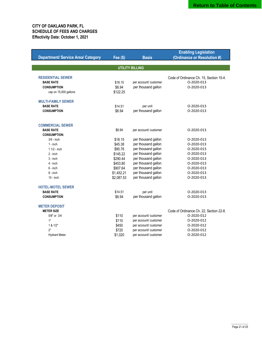| <b>Department/ Service Area/ Category</b>   | Fee (\$)   | <b>Basis</b>           | <b>Enabling Legislation</b><br>(Ordinance or Resolution #) |
|---------------------------------------------|------------|------------------------|------------------------------------------------------------|
|                                             |            | <b>UTILITY BILLING</b> |                                                            |
|                                             |            |                        |                                                            |
| <b>RESIDENTIAL SEWER</b>                    |            |                        | Code of Ordinance Ch. 15, Section 15-4.                    |
| <b>BASE RATE</b>                            | \$18.15    | per account/ customer  | O-2020-013                                                 |
| <b>CONSUMPTION</b>                          | \$6.94     | per thousand gallon    | O-2020-013                                                 |
| cap on 15,000 gallons                       | \$122.25   |                        |                                                            |
| <b>MULTI-FAMILY SEWER</b>                   |            |                        |                                                            |
| <b>BASE RATE</b>                            | \$14.51    | per unit               | 0-2020-013                                                 |
| <b>CONSUMPTION</b>                          | \$6.94     | per thousand gallon    | O-2020-013                                                 |
|                                             |            |                        |                                                            |
| <b>COMMERCIAL SEWER</b><br><b>BASE RATE</b> | \$6.94     | per account/ customer  | O-2020-013                                                 |
| <b>CONSUMPTION:</b>                         |            |                        |                                                            |
| $3/4 - inch$                                | \$18.15    | per thousand gallon    | 0-2020-013                                                 |
| $1 - inch$                                  | \$45.38    | per thousand gallon    | O-2020-013                                                 |
| 1 1/2 - inch                                | \$90.76    | per thousand gallon    | O-2020-013                                                 |
| $2 - inch$                                  | \$145.22   | per thousand gallon    | O-2020-013                                                 |
| $3 - inch$                                  | \$290.44   | per thousand gallon    | O-2020-013                                                 |
| $4 - inch$                                  | \$453.80   | per thousand gallon    | O-2020-013                                                 |
| $6 - inch$                                  | \$907.64   | per thousand gallon    | 0-2020-013                                                 |
| $8 - inch$                                  | \$1,452.21 | per thousand gallon    | O-2020-013                                                 |
| $10 - inch$                                 | \$2,087.53 | per thousand gallon    | O-2020-013                                                 |
| <b>HOTEL-MOTEL SEWER</b>                    |            |                        |                                                            |
| <b>BASE RATE</b>                            | \$14.51    | per unit               | O-2020-013                                                 |
| <b>CONSUMPTION</b>                          | \$6.94     | per thousand gallon    | O-2020-013                                                 |
| <b>METER DEPOSIT</b>                        |            |                        |                                                            |
| <b>METER SIZE</b>                           |            |                        | Code of Ordinance Ch. 22, Section 22-8.                    |
| 5/8" or 3/4                                 | \$110      | per account/ customer  | O-2020-012                                                 |
| 1"                                          | \$110      | per account/ customer  | O-2020-012                                                 |
| 1 & 1/2"                                    | \$450      | per account/ customer  | O-2020-012                                                 |
| 2"                                          | \$720      | per account/ customer  | O-2020-012                                                 |
| <b>Hydrant Meter</b>                        | \$1,020    | per account/ customer  | 0-2020-012                                                 |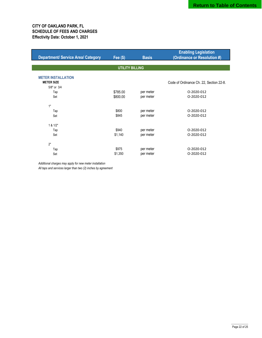| <b>Department/ Service Area/ Category</b> | Fee $(\$)$ | <b>Basis</b> | <b>Enabling Legislation</b><br>(Ordinance or Resolution #) |  |  |  |
|-------------------------------------------|------------|--------------|------------------------------------------------------------|--|--|--|
| <b>UTILITY BILLING</b>                    |            |              |                                                            |  |  |  |
| <b>METER INSTALLATION</b>                 |            |              |                                                            |  |  |  |
| <b>METER SIZE</b>                         |            |              | Code of Ordinance Ch. 22, Section 22-8.                    |  |  |  |
| 5/8" or 3/4                               |            |              |                                                            |  |  |  |
| Tap                                       | \$785.00   | per meter    | 0-2020-012                                                 |  |  |  |
| Set                                       | \$800.00   | per meter    | 0-2020-012                                                 |  |  |  |
| 1"                                        |            |              |                                                            |  |  |  |
| Tap                                       | \$800      | per meter    | O-2020-012                                                 |  |  |  |
| Set                                       | \$845      | per meter    | O-2020-012                                                 |  |  |  |
| 1 & 1/2"                                  |            |              |                                                            |  |  |  |
| Tap                                       | \$940      | per meter    | O-2020-012                                                 |  |  |  |
| Set                                       | \$1,140    | per meter    | 0-2020-012                                                 |  |  |  |
| 2"                                        |            |              |                                                            |  |  |  |
| Tap                                       | \$975      | per meter    | 0-2020-012                                                 |  |  |  |
| Set                                       | \$1,350    | per meter    | O-2020-012                                                 |  |  |  |
|                                           |            |              |                                                            |  |  |  |

*Additional charges may apply for new meter installation*

*All taps and services larger than two (2) inches by agreement*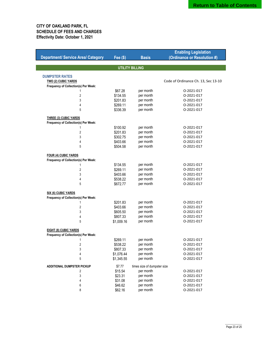|                                           |                        |                             | <b>Enabling Legislation</b>         |
|-------------------------------------------|------------------------|-----------------------------|-------------------------------------|
| <b>Department/ Service Area/ Category</b> | <b>Fee (\$)</b>        | <b>Basis</b>                | (Ordinance or Resolution #)         |
|                                           |                        |                             |                                     |
|                                           | <b>UTILITY BILLING</b> |                             |                                     |
| <b>DUMPSTER RATES</b>                     |                        |                             |                                     |
| <b>TWO (2) CUBIC YARDS</b>                |                        |                             | Code of Ordinance Ch. 13, Sec 13-10 |
| Frequency of Collection(s) Per Week:      |                        |                             |                                     |
| 1                                         | \$67.28                | per month                   | 0-2021-017                          |
| 2                                         | \$134.55               | per month                   | 0-2021-017                          |
| 3                                         | \$201.83               | per month                   | 0-2021-017                          |
| 4                                         | \$269.11               | per month                   | 0-2021-017                          |
| 5                                         | \$336.39               | per month                   | 0-2021-017                          |
|                                           |                        |                             |                                     |
| <b>THREE (3) CUBIC YARDS</b>              |                        |                             |                                     |
| Frequency of Collection(s) Per Week:      |                        |                             |                                     |
| 1                                         | \$100.92               | per month                   | 0-2021-017                          |
| 2                                         | \$201.83               | per month                   | 0-2021-017                          |
| 3                                         | \$302.75               | per month                   | 0-2021-017                          |
| 4                                         | \$403.66               | per month                   | 0-2021-017                          |
| 5                                         | \$504.58               | per month                   | 0-2021-017                          |
| <b>FOUR (4) CUBIC YARDS</b>               |                        |                             |                                     |
| Frequency of Collection(s) Per Week:      |                        |                             |                                     |
| 1                                         | \$134.55               | per month                   | 0-2021-017                          |
| 2                                         | \$269.11               | per month                   | 0-2021-017                          |
| 3                                         | \$403.66               | per month                   | 0-2021-017                          |
| 4                                         | \$538.22               | per month                   | 0-2021-017                          |
| 5                                         | \$672.77               | per month                   | O-2021-017                          |
|                                           |                        |                             |                                     |
| SIX (6) CUBIC YARDS                       |                        |                             |                                     |
| Frequency of Collection(s) Per Week:      |                        |                             |                                     |
| 1                                         | \$201.83               | per month                   | 0-2021-017                          |
| 2                                         | \$403.66               | per month                   | 0-2021-017                          |
| 3                                         | \$605.50               | per month                   | 0-2021-017                          |
| 4                                         | \$807.33               | per month                   | O-2021-017                          |
| 5                                         | \$1,009.16             | per month                   | 0-2021-017                          |
| <b>EIGHT (8) CUBIC YARDS</b>              |                        |                             |                                     |
| Frequency of Collection(s) Per Week:      |                        |                             |                                     |
| 1                                         | \$269.11               | per month                   | 0-2021-017                          |
| 2                                         | \$538.22               | per month                   | 0-2021-017                          |
| 3                                         | \$807.33               | per month                   | 0-2021-017                          |
| 4                                         | \$1,076.44             | per month                   | 0-2021-017                          |
| 5                                         | \$1,345.55             | per month                   | 0-2021-017                          |
| <b>ADDITIONAL DUMPSTER PICKUP</b>         | \$7.77                 | times size of dumpster size |                                     |
| 2                                         | \$15.54                | per month                   | 0-2021-017                          |
| 3                                         | \$23.31                | per month                   | 0-2021-017                          |
| 4                                         | \$31.08                | per month                   | O-2021-017                          |
| 6                                         | \$46.62                | per month                   | 0-2021-017                          |
| 8                                         |                        | per month                   | 0-2021-017                          |
|                                           | \$62.16                |                             |                                     |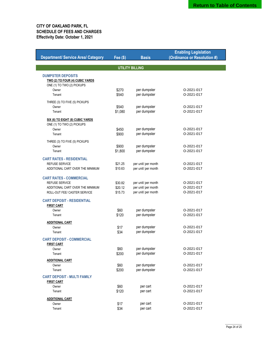|                                           |                 |                              | <b>Enabling Legislation</b> |  |  |
|-------------------------------------------|-----------------|------------------------------|-----------------------------|--|--|
| <b>Department/ Service Area/ Category</b> | <b>Fee (\$)</b> | <b>Basis</b>                 | (Ordinance or Resolution #) |  |  |
| <b>UTILITY BILLING</b>                    |                 |                              |                             |  |  |
|                                           |                 |                              |                             |  |  |
| <b>DUMPSTER DEPOSITS</b>                  |                 |                              |                             |  |  |
| TWO (2) TO FOUR (4) CUBIC YARDS           |                 |                              |                             |  |  |
| ONE (1) TO TWO (2) PICKUPS<br>Owner       |                 |                              | 0-2021-017                  |  |  |
| Tenant                                    | \$270<br>\$540  | per dumpster<br>per dumpster | 0-2021-017                  |  |  |
|                                           |                 |                              |                             |  |  |
| THREE (3) TO FIVE (5) PICKUPS             |                 |                              |                             |  |  |
| Owner                                     | \$540           | per dumpster                 | 0-2021-017                  |  |  |
| Tenant                                    | \$1,080         | per dumpster                 | 0-2021-017                  |  |  |
| SIX (6) TO EIGHT (8) CUBIC YARDS          |                 |                              |                             |  |  |
| ONE (1) TO TWO (2) PICKUPS                |                 |                              |                             |  |  |
| Owner                                     | \$450           | per dumpster                 | 0-2021-017                  |  |  |
| Tenant                                    | \$900           | per dumpster                 | 0-2021-017                  |  |  |
| THREE (3) TO FIVE (5) PICKUPS             |                 |                              |                             |  |  |
| Owner                                     | \$900           | per dumpster                 | 0-2021-017                  |  |  |
| Tenant                                    | \$1,800         | per dumpster                 | 0-2021-017                  |  |  |
| <b>CART RATES - RESIDENTIAL</b>           |                 |                              |                             |  |  |
| <b>REFUSE SERVICE</b>                     | \$21.25         | per unit/ per month          | 0-2021-017                  |  |  |
| ADDITIONAL CART OVER THE MINIMUM          | \$10.63         | per unit/ per month          | 0-2021-017                  |  |  |
| <b>CART RATES - COMMERCIAL</b>            |                 |                              |                             |  |  |
| <b>REFUSE SERVICE</b>                     | \$30.82         | per unit/ per month          | 0-2021-017                  |  |  |
| ADDITIONAL CART OVER THE MINIMUM          | \$20.12         | per unit/ per month          | 0-2021-017                  |  |  |
| ROLL-OUT FEE/ CASTER SERVICE              | \$15.73         | per unit/ per month          | 0-2021-017                  |  |  |
| <b>CART DEPOSIT - RESIDENTIAL</b>         |                 |                              |                             |  |  |
| <b>FIRST CART</b>                         |                 |                              |                             |  |  |
| Owner                                     | \$60            | per dumpster                 | 0-2021-017                  |  |  |
| Tenant                                    | \$120           | per dumpster                 | 0-2021-017                  |  |  |
| <b>ADDITIONAL CART</b>                    |                 |                              |                             |  |  |
| Owner                                     | \$17            | per dumpster                 | 0-2021-017                  |  |  |
| Tenant                                    | \$34            | per dumpster                 | 0-2021-017                  |  |  |
| <b>CART DEPOSIT - COMMERCIAL</b>          |                 |                              |                             |  |  |
| <b>FIRST CART</b>                         |                 |                              |                             |  |  |
| Owner                                     | \$60            | per dumpster                 | 0-2021-017                  |  |  |
| Tenant                                    | \$200           | per dumpster                 | 0-2021-017                  |  |  |
| <b>ADDITIONAL CART</b>                    |                 |                              |                             |  |  |
| Owner                                     | \$60            | per dumpster                 | 0-2021-017                  |  |  |
| Tenant                                    | \$200           | per dumpster                 | O-2021-017                  |  |  |
| <b>CART DEPOSIT - MULTI FAMILY</b>        |                 |                              |                             |  |  |
| <b>FIRST CART</b>                         |                 |                              |                             |  |  |
| Owner                                     | \$60            | per cart                     | 0-2021-017                  |  |  |
| Tenant                                    | \$120           | per cart                     | 0-2021-017                  |  |  |
| <b>ADDITIONAL CART</b>                    |                 |                              |                             |  |  |
| Owner                                     | \$17            | per cart                     | 0-2021-017                  |  |  |
| Tenant                                    | \$34            | per cart                     | 0-2021-017                  |  |  |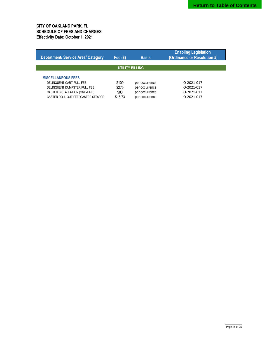| <b>Department/ Service Area/ Category</b>                                                                                                                      | Fee $($ \$)                       | <b>Basis</b>                                                         | <b>Enabling Legislation</b><br>(Ordinance or Resolution #) |  |  |
|----------------------------------------------------------------------------------------------------------------------------------------------------------------|-----------------------------------|----------------------------------------------------------------------|------------------------------------------------------------|--|--|
| <b>UTILITY BILLING</b>                                                                                                                                         |                                   |                                                                      |                                                            |  |  |
| <b>MISCELLANEOUS FEES</b><br>DELINQUENT CART PULL FEE<br>DELINQUENT DUMPSTER PULL FEE<br>CASTER INSTALLATION (ONE-TIME)<br>CASTER ROLL-OUT FEE/ CASTER SERVICE | \$100<br>\$275<br>\$80<br>\$15.73 | per occurrence<br>per occurrence<br>per occurrence<br>per occurrence | 0-2021-017<br>0-2021-017<br>0-2021-017<br>0-2021-017       |  |  |